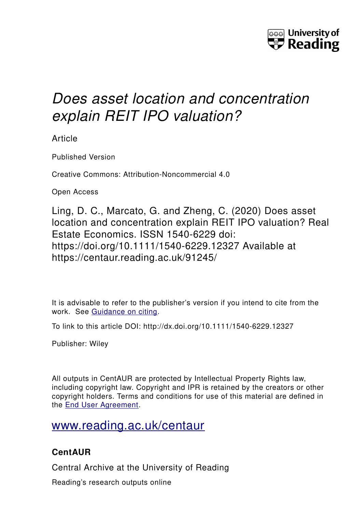

# *Does asset location and concentration explain REIT IPO valuation?*

Article

Published Version

Creative Commons: Attribution-Noncommercial 4.0

Open Access

Ling, D. C., Marcato, G. and Zheng, C. (2020) Does asset location and concentration explain REIT IPO valuation? Real Estate Economics. ISSN 1540-6229 doi: https://doi.org/10.1111/1540-6229.12327 Available at https://centaur.reading.ac.uk/91245/

It is advisable to refer to the publisher's version if you intend to cite from the work. See [Guidance on citing.](http://centaur.reading.ac.uk/71187/10/CentAUR%20citing%20guide.pdf)

To link to this article DOI: http://dx.doi.org/10.1111/1540-6229.12327

Publisher: Wiley

All outputs in CentAUR are protected by Intellectual Property Rights law, including copyright law. Copyright and IPR is retained by the creators or other copyright holders. Terms and conditions for use of this material are defined in the [End User Agreement.](http://centaur.reading.ac.uk/licence)

## [www.reading.ac.uk/centaur](http://www.reading.ac.uk/centaur)

## **CentAUR**

Central Archive at the University of Reading

Reading's research outputs online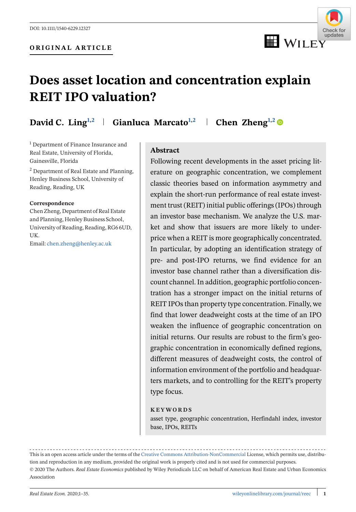

## **Does asset location and concentration explain REIT IPO valuation?**

**David C. Ling<sup>1,2</sup> Gianluca Marcato**<sup>1,2</sup> **Chen Zheng**<sup>1,2</sup> **O** 

<sup>1</sup> Department of Finance Insurance and Real Estate, University of Florida, Gainesville, Florida

<sup>2</sup> Department of Real Estate and Planning, Henley Business School, University of Reading, Reading, UK

#### **Correspondence**

Chen Zheng, Department of Real Estate and Planning, Henley Business School, University of Reading, Reading, RG6 6UD, UK.

Email: [chen.zheng@henley.ac.uk](mailto:chen.zheng@henley.ac.uk)

#### **Abstract**

Following recent developments in the asset pricing literature on geographic concentration, we complement classic theories based on information asymmetry and explain the short-run performance of real estate investment trust (REIT) initial public offerings (IPOs) through an investor base mechanism. We analyze the U.S. market and show that issuers are more likely to underprice when a REIT is more geographically concentrated. In particular, by adopting an identification strategy of pre- and post-IPO returns, we find evidence for an investor base channel rather than a diversification discount channel. In addition, geographic portfolio concentration has a stronger impact on the initial returns of REIT IPOs than property type concentration. Finally, we find that lower deadweight costs at the time of an IPO weaken the influence of geographic concentration on initial returns. Our results are robust to the firm's geographic concentration in economically defined regions, different measures of deadweight costs, the control of information environment of the portfolio and headquarters markets, and to controlling for the REIT's property type focus.

#### **KEYWORDS**

asset type, geographic concentration, Herfindahl index, investor base, IPOs, REITs

This is an open access article under the terms of the [Creative Commons Attribution-NonCommercial](http://creativecommons.org/licenses/by-nc/4.0/) License, which permits use, distribution and reproduction in any medium, provided the original work is properly cited and is not used for commercial purposes. © 2020 The Authors. *Real Estate Economics* published by Wiley Periodicals LLC on behalf of American Real Estate and Urban Economics Association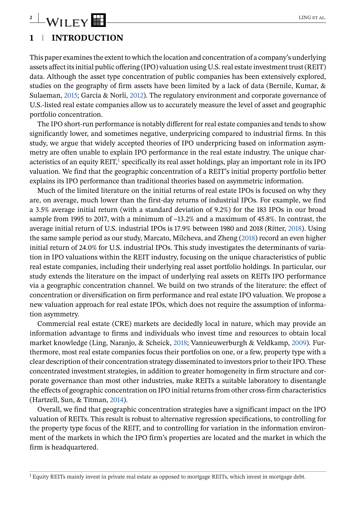# **2** WILEY **EXPERIMENTAL CONSTRUCT OF ALL CONSTRUCT**

### **1 INTRODUCTION**

This paper examines the extent to which the location and concentration of a company's underlying assets affect its initial public offering (IPO) valuation using U.S. real estate investment trust (REIT) data. Although the asset type concentration of public companies has been extensively explored, studies on the geography of firm assets have been limited by a lack of data (Bernile, Kumar, & Sulaeman, 2015; García & Norli, 2012). The regulatory environment and corporate governance of U.S.-listed real estate companies allow us to accurately measure the level of asset and geographic portfolio concentration.

The IPO short-run performance is notably different for real estate companies and tends to show significantly lower, and sometimes negative, underpricing compared to industrial firms. In this study, we argue that widely accepted theories of IPO underpricing based on information asymmetry are often unable to explain IPO performance in the real estate industry. The unique characteristics of an equity REIT,<sup>1</sup> specifically its real asset holdings, play an important role in its IPO valuation. We find that the geographic concentration of a REIT's initial property portfolio better explains its IPO performance than traditional theories based on asymmetric information.

Much of the limited literature on the initial returns of real estate IPOs is focused on why they are, on average, much lower than the first-day returns of industrial IPOs. For example, we find a 3.5% average initial return (with a standard deviation of 9.2%) for the 183 IPOs in our broad sample from 1995 to 2017, with a minimum of –13.2% and a maximum of 45.8%. In contrast, the average initial return of U.S. industrial IPOs is 17.9% between 1980 and 2018 (Ritter, 2018). Using the same sample period as our study, Marcato, Milcheva, and Zheng (2018) record an even higher initial return of 24.0% for U.S. industrial IPOs. This study investigates the determinants of variation in IPO valuations within the REIT industry, focusing on the unique characteristics of public real estate companies, including their underlying real asset portfolio holdings. In particular, our study extends the literature on the impact of underlying real assets on REITs IPO performance via a geographic concentration channel. We build on two strands of the literature: the effect of concentration or diversification on firm performance and real estate IPO valuation. We propose a new valuation approach for real estate IPOs, which does not require the assumption of information asymmetry.

Commercial real estate (CRE) markets are decidedly local in nature, which may provide an information advantage to firms and individuals who invest time and resources to obtain local market knowledge (Ling, Naranjo, & Scheick, 2018; Vannieuwerburgh & Veldkamp, 2009). Furthermore, most real estate companies focus their portfolios on one, or a few, property type with a clear description of their concentration strategy disseminated to investors prior to their IPO. These concentrated investment strategies, in addition to greater homogeneity in firm structure and corporate governance than most other industries, make REITs a suitable laboratory to disentangle the effects of geographic concentration on IPO initial returns from other cross-firm characteristics (Hartzell, Sun, & Titman, 2014).

Overall, we find that geographic concentration strategies have a significant impact on the IPO valuation of REITs. This result is robust to alternative regression specifications, to controlling for the property type focus of the REIT, and to controlling for variation in the information environment of the markets in which the IPO firm's properties are located and the market in which the firm is headquartered.

<sup>&</sup>lt;sup>1</sup> Equity REITs mainly invest in private real estate as opposed to mortgage REITs, which invest in mortgage debt.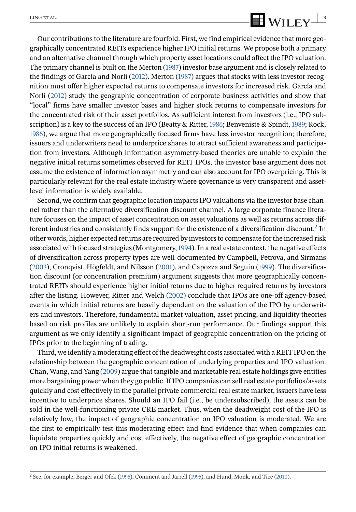# $\frac{\text{LING ETAL}}{\text{MILEY}}$

Our contributions to the literature are fourfold. First, we find empirical evidence that more geographically concentrated REITs experience higher IPO initial returns. We propose both a primary and an alternative channel through which property asset locations could affect the IPO valuation. The primary channel is built on the Merton (1987) investor base argument and is closely related to the findings of García and Norli (2012). Merton (1987) argues that stocks with less investor recognition must offer higher expected returns to compensate investors for increased risk. García and Norli (2012) study the geographic concentration of corporate business activities and show that "local" firms have smaller investor bases and higher stock returns to compensate investors for the concentrated risk of their asset portfolios. As sufficient interest from investors (i.e., IPO subscription) is a key to the success of an IPO (Beatty & Ritter, 1986; Benveniste & Spindt, 1989; Rock, 1986), we argue that more geographically focused firms have less investor recognition; therefore, issuers and underwriters need to underprice shares to attract sufficient awareness and participation from investors. Although information asymmetry-based theories are unable to explain the negative initial returns sometimes observed for REIT IPOs, the investor base argument does not assume the existence of information asymmetry and can also account for IPO overpricing. This is particularly relevant for the real estate industry where governance is very transparent and assetlevel information is widely available.

Second, we confirm that geographic location impacts IPO valuations via the investor base channel rather than the alternative diversification discount channel. A large corporate finance literature focuses on the impact of asset concentration on asset valuations as well as returns across different industries and consistently finds support for the existence of a diversification discount.<sup>2</sup> In other words, higher expected returns are required by investors to compensate for the increased risk associated with focused strategies (Montgomery,1994). In a real estate context, the negative effects of diversification across property types are well-documented by Campbell, Petrova, and Sirmans (2003), Cronqvist, Högfeldt, and Nilsson (2001), and Capozza and Seguin (1999). The diversification discount (or concentration premium) argument suggests that more geographically concentrated REITs should experience higher initial returns due to higher required returns by investors after the listing. However, Ritter and Welch (2002) conclude that IPOs are one-off agency-based events in which initial returns are heavily dependent on the valuation of the IPO by underwriters and investors. Therefore, fundamental market valuation, asset pricing, and liquidity theories based on risk profiles are unlikely to explain short-run performance. Our findings support this argument as we only identify a significant impact of geographic concentration on the pricing of IPOs prior to the beginning of trading.

Third, we identify a moderating effect of the deadweight costs associated with a REIT IPO on the relationship between the geographic concentration of underlying properties and IPO valuation. Chan, Wang, and Yang (2009) argue that tangible and marketable real estate holdings give entities more bargaining power when they go public. If IPO companies can sell real estate portfolios/assets quickly and cost effectively in the parallel private commercial real estate market, issuers have less incentive to underprice shares. Should an IPO fail (i.e., be undersubscribed), the assets can be sold in the well-functioning private CRE market. Thus, when the deadweight cost of the IPO is relatively low, the impact of geographic concentration on IPO valuation is moderated. We are the first to empirically test this moderating effect and find evidence that when companies can liquidate properties quickly and cost effectively, the negative effect of geographic concentration on IPO initial returns is weakened.

<sup>2</sup> See, for example, Berger and Ofek (1995), Comment and Jarrell (1995), and Hund, Monk, and Tice (2010).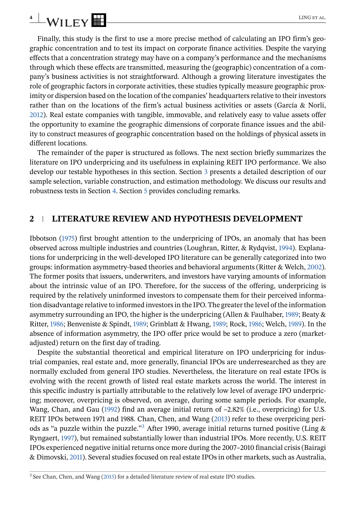# **4** WILEY **EXPERIMENT CONSTRU**

Finally, this study is the first to use a more precise method of calculating an IPO firm's geographic concentration and to test its impact on corporate finance activities. Despite the varying effects that a concentration strategy may have on a company's performance and the mechanisms through which these effects are transmitted, measuring the (geographic) concentration of a company's business activities is not straightforward. Although a growing literature investigates the role of geographic factors in corporate activities, these studies typically measure geographic proximity or dispersion based on the location of the companies' headquarters relative to their investors rather than on the locations of the firm's actual business activities or assets (García & Norli, 2012). Real estate companies with tangible, immovable, and relatively easy to value assets offer the opportunity to examine the geographic dimensions of corporate finance issues and the ability to construct measures of geographic concentration based on the holdings of physical assets in different locations.

The remainder of the paper is structured as follows. The next section briefly summarizes the literature on IPO underpricing and its usefulness in explaining REIT IPO performance. We also develop our testable hypotheses in this section. Section [3](#page-7-0) presents a detailed description of our sample selection, variable construction, and estimation methodology. We discuss our results and robustness tests in Section [4.](#page-14-0) Section [5](#page-32-0) provides concluding remarks.

### **2 LITERATURE REVIEW AND HYPOTHESIS DEVELOPMENT**

Ibbotson (1975) first brought attention to the underpricing of IPOs, an anomaly that has been observed across multiple industries and countries (Loughran, Ritter, & Rydqvist, 1994). Explanations for underpricing in the well-developed IPO literature can be generally categorized into two groups: information asymmetry-based theories and behavioral arguments (Ritter & Welch, 2002). The former posits that issuers, underwriters, and investors have varying amounts of information about the intrinsic value of an IPO. Therefore, for the success of the offering, underpricing is required by the relatively uninformed investors to compensate them for their perceived information disadvantage relative to informed investors in the IPO. The greater the level of the information asymmetry surrounding an IPO, the higher is the underpricing (Allen & Faulhaber, 1989; Beaty & Ritter, 1986; Benveniste & Spindt, 1989; Grinblatt & Hwang, 1989; Rock, 1986; Welch, 1989). In the absence of information asymmetry, the IPO offer price would be set to produce a zero (marketadjusted) return on the first day of trading.

Despite the substantial theoretical and empirical literature on IPO underpricing for industrial companies, real estate and, more generally, financial IPOs are underresearched as they are normally excluded from general IPO studies. Nevertheless, the literature on real estate IPOs is evolving with the recent growth of listed real estate markets across the world. The interest in this specific industry is partially attributable to the relatively low level of average IPO underpricing; moreover, overpricing is observed, on average, during some sample periods. For example, Wang, Chan, and Gau (1992) find an average initial return of  $-2.82\%$  (i.e., overpricing) for U.S. REIT IPOs between 1971 and 1988. Chan, Chen, and Wang (2013) refer to these overpricing periods as "a puzzle within the puzzle."<sup>3</sup> After 1990, average initial returns turned positive (Ling  $\&$ Ryngaert, 1997), but remained substantially lower than industrial IPOs. More recently, U.S. REIT IPOs experienced negative initial returns once more during the 2007–2010 financial crisis (Bairagi & Dimovski, 2011). Several studies focused on real estate IPOs in other markets, such as Australia,

<sup>&</sup>lt;sup>3</sup> See Chan, Chen, and Wang (2013) for a detailed literature review of real estate IPO studies.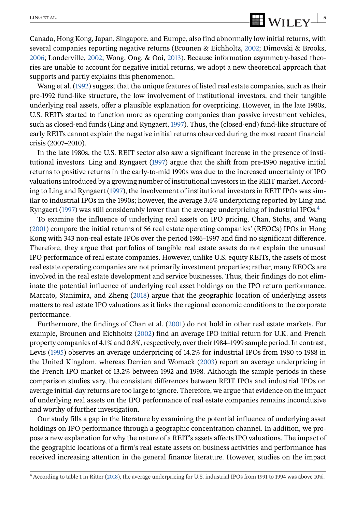Canada, Hong Kong, Japan, Singapore. and Europe, also find abnormally low initial returns, with several companies reporting negative returns (Brounen & Eichholtz, 2002; Dimovski & Brooks, 2006; Londerville, 2002; Wong, Ong, & Ooi, 2013). Because information asymmetry-based theories are unable to account for negative initial returns, we adopt a new theoretical approach that supports and partly explains this phenomenon.

Wang et al. (1992) suggest that the unique features of listed real estate companies, such as their pre-1992 fund-like structure, the low involvement of institutional investors, and their tangible underlying real assets, offer a plausible explanation for overpricing. However, in the late 1980s, U.S. REITs started to function more as operating companies than passive investment vehicles, such as closed-end funds (Ling and Ryngaert, 1997). Thus, the (closed-end) fund-like structure of early REITs cannot explain the negative initial returns observed during the most recent financial crisis (2007–2010).

In the late 1980s, the U.S. REIT sector also saw a significant increase in the presence of institutional investors. Ling and Ryngaert (1997) argue that the shift from pre-1990 negative initial returns to positive returns in the early-to-mid 1990s was due to the increased uncertainty of IPO valuations introduced by a growing number of institutional investors in the REIT market. According to Ling and Ryngaert (1997), the involvement of institutional investors in REIT IPOs was similar to industrial IPOs in the 1990s; however, the average 3.6% underpricing reported by Ling and Ryngaert (1997) was still considerably lower than the average underpricing of industrial IPOs.<sup>4</sup>

To examine the influence of underlying real assets on IPO pricing, Chan, Stohs, and Wang (2001) compare the initial returns of 56 real estate operating companies' (REOCs) IPOs in Hong Kong with 343 non-real estate IPOs over the period 1986–1997 and find no significant difference. Therefore, they argue that portfolios of tangible real estate assets do not explain the unusual IPO performance of real estate companies. However, unlike U.S. equity REITs, the assets of most real estate operating companies are not primarily investment properties; rather, many REOCs are involved in the real estate development and service businesses. Thus, their findings do not eliminate the potential influence of underlying real asset holdings on the IPO return performance. Marcato, Stanimira, and Zheng (2018) argue that the geographic location of underlying assets matters to real estate IPO valuations as it links the regional economic conditions to the corporate performance.

Furthermore, the findings of Chan et al. (2001) do not hold in other real estate markets. For example, Brounen and Eichholtz (2002) find an average IPO initial return for U.K. and French property companies of 4.1% and 0.8%, respectively, over their 1984–1999 sample period. In contrast, Levis (1995) observes an average underpricing of 14.2% for industrial IPOs from 1980 to 1988 in the United Kingdom, whereas Derrien and Womack (2003) report an average underpricing in the French IPO market of 13.2% between 1992 and 1998. Although the sample periods in these comparison studies vary, the consistent differences between REIT IPOs and industrial IPOs on average initial-day returns are too large to ignore. Therefore, we argue that evidence on the impact of underlying real assets on the IPO performance of real estate companies remains inconclusive and worthy of further investigation.

Our study fills a gap in the literature by examining the potential influence of underlying asset holdings on IPO performance through a geographic concentration channel. In addition, we propose a new explanation for why the nature of a REIT's assets affects IPO valuations. The impact of the geographic locations of a firm's real estate assets on business activities and performance has received increasing attention in the general finance literature. However, studies on the impact

<sup>4</sup> According to table 1 in Ritter (2018), the average underpricing for U.S. industrial IPOs from 1991 to 1994 was above 10%.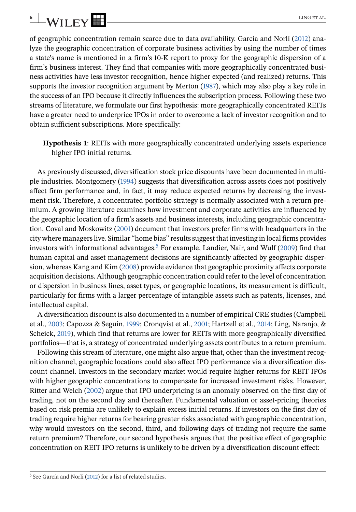of geographic concentration remain scarce due to data availability. García and Norli (2012) analyze the geographic concentration of corporate business activities by using the number of times a state's name is mentioned in a firm's 10-K report to proxy for the geographic dispersion of a firm's business interest. They find that companies with more geographically concentrated business activities have less investor recognition, hence higher expected (and realized) returns. This supports the investor recognition argument by Merton (1987), which may also play a key role in the success of an IPO because it directly influences the subscription process. Following these two streams of literature, we formulate our first hypothesis: more geographically concentrated REITs have a greater need to underprice IPOs in order to overcome a lack of investor recognition and to obtain sufficient subscriptions. More specifically:

**Hypothesis 1**: REITs with more geographically concentrated underlying assets experience higher IPO initial returns.

As previously discussed, diversification stock price discounts have been documented in multiple industries. Montgomery (1994) suggests that diversification across assets does not positively affect firm performance and, in fact, it may reduce expected returns by decreasing the investment risk. Therefore, a concentrated portfolio strategy is normally associated with a return premium. A growing literature examines how investment and corporate activities are influenced by the geographic location of a firm's assets and business interests, including geographic concentration. Coval and Moskowitz (2001) document that investors prefer firms with headquarters in the city where managers live. Similar "home bias" results suggest that investing in local firms provides investors with informational advantages.<sup>5</sup> For example, Landier, Nair, and Wulf (2009) find that human capital and asset management decisions are significantly affected by geographic dispersion, whereas Kang and Kim (2008) provide evidence that geographic proximity affects corporate acquisition decisions. Although geographic concentration could refer to the level of concentration or dispersion in business lines, asset types, or geographic locations, its measurement is difficult, particularly for firms with a larger percentage of intangible assets such as patents, licenses, and intellectual capital.

A diversification discount is also documented in a number of empirical CRE studies (Campbell et al., 2003; Capozza & Seguin, 1999; Cronqvist et al., 2001; Hartzell et al., 2014; Ling, Naranjo, & Scheick, 2019), which find that returns are lower for REITs with more geographically diversified portfolios—that is, a strategy of concentrated underlying assets contributes to a return premium.

Following this stream of literature, one might also argue that, other than the investment recognition channel, geographic locations could also affect IPO performance via a diversification discount channel. Investors in the secondary market would require higher returns for REIT IPOs with higher geographic concentrations to compensate for increased investment risks. However, Ritter and Welch (2002) argue that IPO underpricing is an anomaly observed on the first day of trading, not on the second day and thereafter. Fundamental valuation or asset-pricing theories based on risk premia are unlikely to explain excess initial returns. If investors on the first day of trading require higher returns for bearing greater risks associated with geographic concentration, why would investors on the second, third, and following days of trading not require the same return premium? Therefore, our second hypothesis argues that the positive effect of geographic concentration on REIT IPO returns is unlikely to be driven by a diversification discount effect:

<sup>5</sup> See García and Norli (2012) for a list of related studies.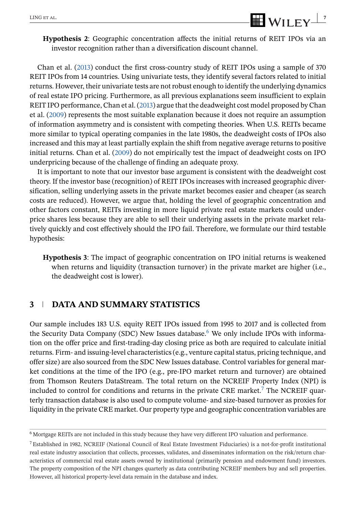<span id="page-7-0"></span>**Hypothesis 2**: Geographic concentration affects the initial returns of REIT IPOs via an investor recognition rather than a diversification discount channel.

Chan et al. (2013) conduct the first cross-country study of REIT IPOs using a sample of 370 REIT IPOs from 14 countries. Using univariate tests, they identify several factors related to initial returns. However, their univariate tests are not robust enough to identify the underlying dynamics of real estate IPO pricing. Furthermore, as all previous explanations seem insufficient to explain REIT IPO performance, Chan et al. (2013) argue that the deadweight cost model proposed by Chan et al. (2009) represents the most suitable explanation because it does not require an assumption of information asymmetry and is consistent with competing theories. When U.S. REITs became more similar to typical operating companies in the late 1980s, the deadweight costs of IPOs also increased and this may at least partially explain the shift from negative average returns to positive initial returns. Chan et al. (2009) do not empirically test the impact of deadweight costs on IPO underpricing because of the challenge of finding an adequate proxy.

It is important to note that our investor base argument is consistent with the deadweight cost theory. If the investor base (recognition) of REIT IPOs increases with increased geographic diversification, selling underlying assets in the private market becomes easier and cheaper (as search costs are reduced). However, we argue that, holding the level of geographic concentration and other factors constant, REITs investing in more liquid private real estate markets could underprice shares less because they are able to sell their underlying assets in the private market relatively quickly and cost effectively should the IPO fail. Therefore, we formulate our third testable hypothesis:

**Hypothesis 3**: The impact of geographic concentration on IPO initial returns is weakened when returns and liquidity (transaction turnover) in the private market are higher (i.e., the deadweight cost is lower).

### **3 DATA AND SUMMARY STATISTICS**

Our sample includes 183 U.S. equity REIT IPOs issued from 1995 to 2017 and is collected from the Security Data Company (SDC) New Issues database.<sup>6</sup> We only include IPOs with information on the offer price and first-trading-day closing price as both are required to calculate initial returns. Firm- and issuing-level characteristics (e.g., venture capital status, pricing technique, and offer size) are also sourced from the SDC New Issues database. Control variables for general market conditions at the time of the IPO (e.g., pre-IPO market return and turnover) are obtained from Thomson Reuters DataStream. The total return on the NCREIF Property Index (NPI) is included to control for conditions and returns in the private CRE market.<sup>7</sup> The NCREIF quarterly transaction database is also used to compute volume- and size-based turnover as proxies for liquidity in the private CRE market. Our property type and geographic concentration variables are

<sup>6</sup> Mortgage REITs are not included in this study because they have very different IPO valuation and performance.

<sup>7</sup> Established in 1982, NCREIF (National Council of Real Estate Investment Fiduciaries) is a not-for-profit institutional real estate industry association that collects, processes, validates, and disseminates information on the risk/return characteristics of commercial real estate assets owned by institutional (primarily pension and endowment fund) investors. The property composition of the NPI changes quarterly as data contributing NCREIF members buy and sell properties. However, all historical property-level data remain in the database and index.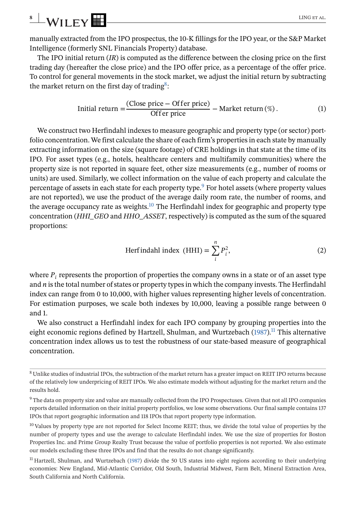<span id="page-8-0"></span>manually extracted from the IPO prospectus, the 10-K fillings for the IPO year, or the S&P Market Intelligence (formerly SNL Financials Property) database.

The IPO initial return (*IR*) is computed as the difference between the closing price on the first trading day (hereafter the close price) and the IPO offer price, as a percentage of the offer price. To control for general movements in the stock market, we adjust the initial return by subtracting the market return on the first day of trading<sup>8</sup>:

Initial return 
$$
=\frac{(Close price - Officer price)}{offer price} - Market return (\%)
$$
. (1)

We construct two Herfindahl indexes to measure geographic and property type (or sector) portfolio concentration. We first calculate the share of each firm's properties in each state by manually extracting information on the size (square footage) of CRE holdings in that state at the time of its IPO. For asset types (e.g., hotels, healthcare centers and multifamily communities) where the property size is not reported in square feet, other size measurements (e.g., number of rooms or units) are used. Similarly, we collect information on the value of each property and calculate the percentage of assets in each state for each property type.<sup>9</sup> For hotel assets (where property values are not reported), we use the product of the average daily room rate, the number of rooms, and the average occupancy rate as weights. $10$  The Herfindahl index for geographic and property type concentration (*HHI\_GEO* and *HHO\_ASSET*, respectively) is computed as the sum of the squared proportions:

Herfindahl index (HHI) = 
$$
\sum_{i}^{n} P_{i}^{2},
$$
 (2)

where  $P_i$  represents the proportion of properties the company owns in a state or of an asset type and *n* is the total number of states or property types in which the company invests. The Herfindahl index can range from 0 to 10,000, with higher values representing higher levels of concentration. For estimation purposes, we scale both indexes by 10,000, leaving a possible range between 0 and 1.

We also construct a Herfindahl index for each IPO company by grouping properties into the eight economic regions defined by Hartzell, Shulman, and Wurtzebach (1987).<sup>11</sup> This alternative concentration index allows us to test the robustness of our state-based measure of geographical concentration.

<sup>8</sup> Unlike studies of industrial IPOs, the subtraction of the market return has a greater impact on REIT IPO returns because of the relatively low underpricing of REIT IPOs. We also estimate models without adjusting for the market return and the results hold.

<sup>9</sup> The data on property size and value are manually collected from the IPO Prospectuses. Given that not all IPO companies reports detailed information on their initial property portfolios, we lose some observations. Our final sample contains 137 IPOs that report geographic information and 118 IPOs that report property type information.

<sup>&</sup>lt;sup>10</sup> Values by property type are not reported for Select Income REIT; thus, we divide the total value of properties by the number of property types and use the average to calculate Herfindahl index. We use the size of properties for Boston Properties Inc. and Prime Group Realty Trust because the value of portfolio properties is not reported. We also estimate our models excluding these three IPOs and find that the results do not change significantly.

 $<sup>11</sup>$  Hartzell, Shulman, and Wurtzebach (1987) divide the 50 US states into eight regions according to their underlying</sup> economies: New England, Mid-Atlantic Corridor, Old South, Industrial Midwest, Farm Belt, Mineral Extraction Area, South California and North California.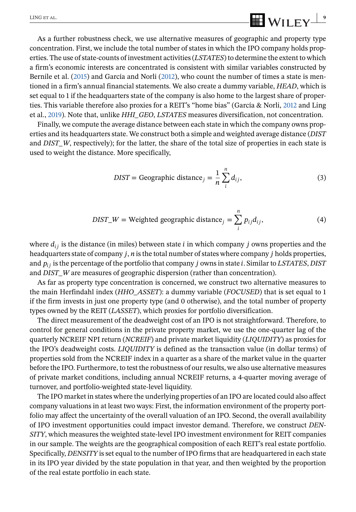As a further robustness check, we use alternative measures of geographic and property type concentration. First, we include the total number of states in which the IPO company holds properties. The use of state-counts of investment activities (*LSTATES*) to determine the extent to which a firm's economic interests are concentrated is consistent with similar variables constructed by Bernile et al. (2015) and García and Norli (2012), who count the number of times a state is mentioned in a firm's annual financial statements. We also create a dummy variable, *HEAD*, which is set equal to 1 if the headquarters state of the company is also home to the largest share of properties. This variable therefore also proxies for a REIT's "home bias" (García & Norli, 2012 and Ling et al., 2019). Note that, unlike *HHI\_GEO*, *LSTATES* measures diversification, not concentration.

Finally, we compute the average distance between each state in which the company owns properties and its headquarters state. We construct both a simple and weighted average distance (*DIST* and *DIST\_W*, respectively); for the latter, the share of the total size of properties in each state is used to weight the distance. More specifically,

$$
DIST = Geographic distance_j = \frac{1}{n} \sum_{i}^{n} d_{ij},
$$
\n(3)

$$
DIST\_W = Weighted geographic distance_j = \sum_{i}^{n} p_{ij} d_{ij},
$$
\n(4)

where  $d_{ij}$  is the distance (in miles) between state *i* in which company *j* owns properties and the headquarters state of company *j*, *n* is the total number of states where company *j* holds properties, and  $p_{ij}$  is the percentage of the portfolio that company  $j$  owns in state  $i$ . Similar to *LSTATES*, *DIST* and *DIST\_W* are measures of geographic dispersion (rather than concentration).

As far as property type concentration is concerned, we construct two alternative measures to the main Herfindahl index (*HHO\_ASSET*): a dummy variable (*FOCUSED*) that is set equal to 1 if the firm invests in just one property type (and 0 otherwise), and the total number of property types owned by the REIT (*LASSET*), which proxies for portfolio diversification.

The direct measurement of the deadweight cost of an IPO is not straightforward. Therefore, to control for general conditions in the private property market, we use the one-quarter lag of the quarterly NCREIF NPI return (*NCREIF*) and private market liquidity (*LIQUIDITY*) as proxies for the IPO's deadweight costs. *LIQUIDITY* is defined as the transaction value (in dollar terms) of properties sold from the NCREIF index in a quarter as a share of the market value in the quarter before the IPO. Furthermore, to test the robustness of our results, we also use alternative measures of private market conditions, including annual NCREIF returns, a 4-quarter moving average of turnover, and portfolio-weighted state-level liquidity.

The IPO market in states where the underlying properties of an IPO are located could also affect company valuations in at least two ways: First, the information environment of the property portfolio may affect the uncertainty of the overall valuation of an IPO. Second, the overall availability of IPO investment opportunities could impact investor demand. Therefore, we construct *DEN-SITY*, which measures the weighted state-level IPO investment environment for REIT companies in our sample. The weights are the geographical composition of each REIT's real estate portfolio. Specifically, *DENSITY* is set equal to the number of IPO firms that are headquartered in each state in its IPO year divided by the state population in that year, and then weighted by the proportion of the real estate portfolio in each state.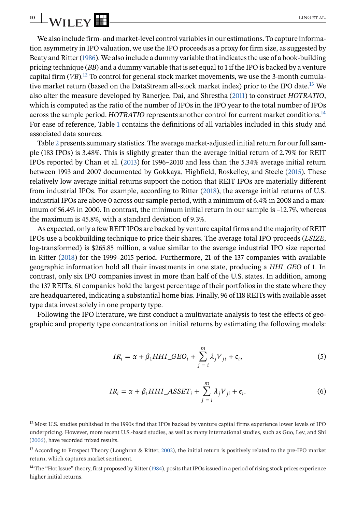<span id="page-10-0"></span>We also include firm- and market-level control variables in our estimations. To capture information asymmetry in IPO valuation, we use the IPO proceeds as a proxy for firm size, as suggested by Beaty and Ritter (1986). We also include a dummy variable that indicates the use of a book-building pricing technique (*BB*) and a dummy variable that is set equal to 1 if the IPO is backed by a venture capital firm  $(VB)$ .<sup>12</sup> To control for general stock market movements, we use the 3-month cumulative market return (based on the DataStream all-stock market index) prior to the IPO date.<sup>13</sup> We also alter the measure developed by Banerjee, Dai, and Shrestha (2011) to construct *HOTRATIO*, which is computed as the ratio of the number of IPOs in the IPO year to the total number of IPOs across the sample period. *HOTRATIO* represents another control for current market conditions.<sup>14</sup> For ease of reference, Table [1](#page-11-0) contains the definitions of all variables included in this study and associated data sources.

Table [2](#page-13-0) presents summary statistics. The average market-adjusted initial return for our full sample (183 IPOs) is 3.48%. This is slightly greater than the average initial return of 2.79% for REIT IPOs reported by Chan et al. (2013) for 1996–2010 and less than the 5.34% average initial return between 1993 and 2007 documented by Gokkaya, Highfield, Roskelley, and Steele (2015). These relatively low average initial returns support the notion that REIT IPOs are materially different from industrial IPOs. For example, according to Ritter (2018), the average initial returns of U.S. industrial IPOs are above 0 across our sample period, with a minimum of 6.4% in 2008 and a maximum of 56.4% in 2000. In contrast, the minimum initial return in our sample is –12.7%, whereas the maximum is 45.8%, with a standard deviation of 9.3%.

As expected, only a few REIT IPOs are backed by venture capital firms and the majority of REIT IPOs use a bookbuilding technique to price their shares. The average total IPO proceeds (*LSIZE*, log-transformed) is \$265.85 million, a value similar to the average industrial IPO size reported in Ritter (2018) for the 1999–2015 period. Furthermore, 21 of the 137 companies with available geographic information hold all their investments in one state, producing a *HHI\_GEO* of 1. In contrast, only six IPO companies invest in more than half of the U.S. states. In addition, among the 137 REITs, 61 companies hold the largest percentage of their portfolios in the state where they are headquartered, indicating a substantial home bias. Finally, 96 of 118 REITs with available asset type data invest solely in one property type.

Following the IPO literature, we first conduct a multivariate analysis to test the effects of geographic and property type concentrations on initial returns by estimating the following models:

$$
IR_i = \alpha + \beta_1 HHI\_GEO_i + \sum_{j=i}^{m} \lambda_j V_{ji} + \epsilon_i,
$$
\n(5)

$$
IR_{i} = \alpha + \beta_{1} HHI\_ASSET_{i} + \sum_{j=i}^{m} \lambda_{j} V_{ji} + \epsilon_{i}.
$$
 (6)

<sup>&</sup>lt;sup>12</sup> Most U.S. studies published in the 1990s find that IPOs backed by venture capital firms experience lower levels of IPO underpricing. However, more recent U.S.-based studies, as well as many international studies, such as Guo, Lev, and Shi (2006), have recorded mixed results.

<sup>&</sup>lt;sup>13</sup> According to Prospect Theory (Loughran & Ritter, 2002), the initial return is positively related to the pre-IPO market return, which captures market sentiment.

<sup>&</sup>lt;sup>14</sup> The "Hot Issue" theory, first proposed by Ritter (1984), posits that IPOs issued in a period of rising stock prices experience higher initial returns.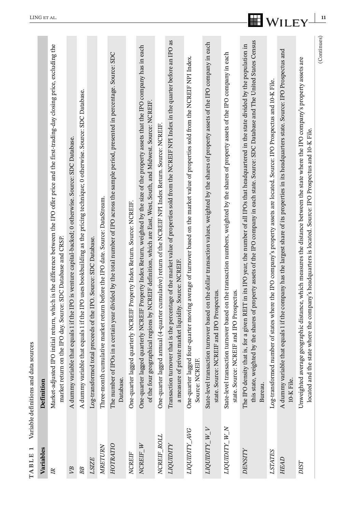<span id="page-11-0"></span>

| TABLE 1             | sources<br>Variable definitions and data              |                                                                                                                                                                                                                                                                                             |
|---------------------|-------------------------------------------------------|---------------------------------------------------------------------------------------------------------------------------------------------------------------------------------------------------------------------------------------------------------------------------------------------|
| Variables           | Definition                                            |                                                                                                                                                                                                                                                                                             |
| $\mathbb{R}$        |                                                       | Market-adjusted IPO initial return, which is the difference between the IPO offer price and the first-trading-day closing price, excluding the<br>market return on the IPO day. Source: SDC Database and CRSP.                                                                              |
| VВ                  |                                                       | A dummy variable that equals 1 if the IPO is venture capital-backed; 0 otherwise. Source: SDC Database.                                                                                                                                                                                     |
| BB                  |                                                       | A dummy variable that equals 1 if the IPO uses bookbuilding as the pricing technique; 0 otherwise. Source: SDC Database.                                                                                                                                                                    |
| LSIZE               |                                                       | Log-transformed total proceeds of the IPO. Source: SDC Database.                                                                                                                                                                                                                            |
| MRETURN             |                                                       | Three-month cumulative market return before the IPO date. Source: DataStream.                                                                                                                                                                                                               |
| HOTRATIO            | Database.                                             | The number of IPOs in a certain year divided by the total number of IPO across the sample period, presented in percentage. Source: SDC                                                                                                                                                      |
| NCREIF              |                                                       | One-quarter lagged quarterly NCREIF Property Index Return. Source: NCREIF                                                                                                                                                                                                                   |
| NCREIF_W            |                                                       | One-quarter1agged quarterly NCREIF Property Index Return, weighted by the size of the property assets that the IPO company has in each<br>of the four geographical regions by NCREIF definition, which are East, West, South, and Midwest. Source: NCREIF.                                  |
| NCREIF_ROLL         |                                                       | One-quarter1agged annual (4-quarter cumulative) return of the NCREIF NPI Index Return. Source: NCREIF.                                                                                                                                                                                      |
| LIQUIDITY           | a measure of private market liquidity. Source: NCREIF | Transaction turnover that is the percentage of the market value of properties sold from the NCREIF NPI Index in the quarter before an IPO as                                                                                                                                                |
| <b>DAF AIGIDDIT</b> | Source: NCREIF.                                       | One-quarter lagged four-quarter moving average of turnover based on the market value of properties sold from the NCREIF NPI Index.                                                                                                                                                          |
| LIQUIDITY_W_V       | state. Source: NCREIF and IPO Prospectus.             | State-level transaction turnover based on the dollar transaction values, weighted by the shares of property assets of the IPO company in each                                                                                                                                               |
| LIQUIDITY_W_N       | state. Source: NCREIF and IPO Prospectus.             | State-level transaction turnover based on the transaction numbers, weighted by the shares of property assets of the IPO company in each                                                                                                                                                     |
| DENSITY             | Bureau.                                               | this state, weighted by the shares of property assets of the IPO company in each state. Source: SDC Database and The United States Census<br>The IPO density that is, for a given REIT in its IPO year, the number of all IPOs that headquartered in the state divided by the population in |
| <b>LSTATES</b>      | Log-transformed 1                                     | number of states where the IPO company's property assets are located. Source: IPO Prospectus and 10-K File.                                                                                                                                                                                 |
| HEAD                | 10-K File.                                            | A dummy variable that equals 1 if the company has the largest share of its properties in its headquarters state. Source: IPO Prospectus and                                                                                                                                                 |
| <b>DIST</b>         | located and the                                       | Unweighted average geographic distance, which measures the distance between the state where the IPO company's property assets are<br>state where the company's headquarters is located. Source: IPO Prospectus and 10-K File.                                                               |
|                     |                                                       | (Continues)                                                                                                                                                                                                                                                                                 |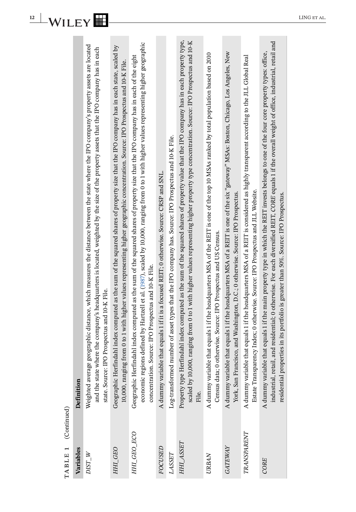| Š                        |
|--------------------------|
|                          |
|                          |
| i                        |
|                          |
|                          |
| Ľ                        |
|                          |
|                          |
|                          |
| $\overline{\phantom{0}}$ |
|                          |
| Ľ<br>Ľ                   |
|                          |
|                          |
|                          |
| m                        |
| $\blacktriangleleft$     |

| number of asset types that the IPO company has. Source: IPO Prospectus and 10-K File.<br>A dummy variable that equals 1 if it is a focused REIT; 0 otherwise. Source: CRSP and SNL.<br>Estate Transparency Index; 0 otherwise. Source: IPO Prospectus and JLL Website.<br>York, San Francisco, and Washington, D.C.; 0 otherwise. Source: IPO Prospectus.<br>residential properties in its portfolio is greater than 50%. Source: IPO Prospectus.<br>Census data; 0 otherwise. Source: IPO Prospectus and US Census.<br>concentration. Source: IPO Prospectus and 10-K File.<br>state. Source: IPO Prospectus and 10-K File.<br>Weighted average<br>Log-transformed<br>File.<br>TRANSPARENT<br>HHI_GEO_ECO<br>HHI_ASSET<br><b>GATEWAY</b><br>FOCUSED<br>HHI_GEO<br>LASSET<br>$DIST_W$<br><b>URBAN</b><br>CORE | TABLE 1 (Continued)<br>Variables | Definition                                                                                                                                                                                                                                                                                       |
|---------------------------------------------------------------------------------------------------------------------------------------------------------------------------------------------------------------------------------------------------------------------------------------------------------------------------------------------------------------------------------------------------------------------------------------------------------------------------------------------------------------------------------------------------------------------------------------------------------------------------------------------------------------------------------------------------------------------------------------------------------------------------------------------------------------|----------------------------------|--------------------------------------------------------------------------------------------------------------------------------------------------------------------------------------------------------------------------------------------------------------------------------------------------|
|                                                                                                                                                                                                                                                                                                                                                                                                                                                                                                                                                                                                                                                                                                                                                                                                               |                                  | geographic distance, which measures the distance between the state where the IPO company's property assets are located<br>and the state where the company's headquarters is located, weighted by the size of the property assets that the IPO company has in each                                |
|                                                                                                                                                                                                                                                                                                                                                                                                                                                                                                                                                                                                                                                                                                                                                                                                               |                                  | Geographic Herfindahl index computed as the sum of the squared shares of property size that the IPO company has in each state, scaled by<br>10,000, ranging from 0 to 1 with higher values representing higher geographic concentration. Source: IPO Prospectus and 10-K File.                   |
|                                                                                                                                                                                                                                                                                                                                                                                                                                                                                                                                                                                                                                                                                                                                                                                                               |                                  | economic regions defined by Hartzell et al. (1987), scaled by 10,000, ranging from 0 to 1 with higher values representing higher geographic<br>Geographic Herfindahl index computed as the sum of the squared shares of property size that the IPO company has in each of the eight              |
|                                                                                                                                                                                                                                                                                                                                                                                                                                                                                                                                                                                                                                                                                                                                                                                                               |                                  |                                                                                                                                                                                                                                                                                                  |
|                                                                                                                                                                                                                                                                                                                                                                                                                                                                                                                                                                                                                                                                                                                                                                                                               |                                  |                                                                                                                                                                                                                                                                                                  |
|                                                                                                                                                                                                                                                                                                                                                                                                                                                                                                                                                                                                                                                                                                                                                                                                               |                                  | Property type Herfindahl index computed as the sum of the squared shares of property value that the IPO company has in each property type,<br>scaled by 10,000, ranging from 0 to 1 with higher values representing higher property type concentration. Source: IPO Prospectus and 10-K          |
|                                                                                                                                                                                                                                                                                                                                                                                                                                                                                                                                                                                                                                                                                                                                                                                                               |                                  | A dummy variable that equals 1 if the headquarters MSA of the REIT is one of the top 10 MSAs ranked by total population based on 2010                                                                                                                                                            |
|                                                                                                                                                                                                                                                                                                                                                                                                                                                                                                                                                                                                                                                                                                                                                                                                               |                                  | A dummy variable that equals 1 if the headquarters MSA of a REIT is one of the six "gateway" MSAs: Boston, Chicago, Los Angeles, New                                                                                                                                                             |
|                                                                                                                                                                                                                                                                                                                                                                                                                                                                                                                                                                                                                                                                                                                                                                                                               |                                  | A dummy variable that equals 1 if the headquarters MSA of a REIT is considered as highly transparent according to the JLL Global Real                                                                                                                                                            |
|                                                                                                                                                                                                                                                                                                                                                                                                                                                                                                                                                                                                                                                                                                                                                                                                               |                                  | industrial, retail, and residential; 0 otherwise. For each diversified REIT, CORE equals 1 if the overall weight of office, industrial, retail and<br>A dummy variable that equals 1 if the main property type in which the REIT invests belongs to one of the four core property types: office, |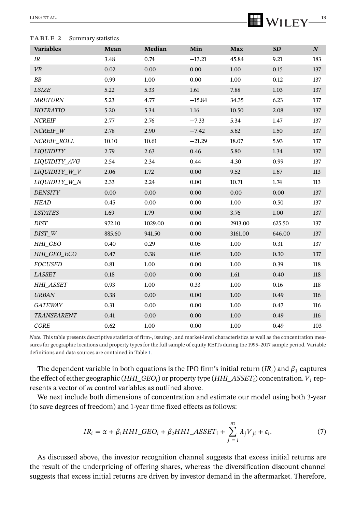#### <span id="page-13-0"></span>**TABLE 2** Summary statistics

| <b>Variables</b>   | Mean   | Median  | Min      | Max      | SD     | $\boldsymbol{N}$ |
|--------------------|--------|---------|----------|----------|--------|------------------|
| IR                 | 3.48   | 0.74    | $-13.21$ | 45.84    | 9.21   | 183              |
| <b>VB</b>          | 0.02   | 0.00    | 0.00     | 1.00     | 0.15   | 137              |
| ${\cal B}{\cal B}$ | 0.99   | 1.00    | 0.00     | 1.00     | 0.12   | 137              |
| <b>LSIZE</b>       | 5.22   | 5.33    | 1.61     | 7.88     | 1.03   | 137              |
| <b>MRETURN</b>     | 5.23   | 4.77    | $-15.84$ | 34.35    | 6.23   | 137              |
| HOTRATIO           | 5.20   | 5.34    | 1.16     | 10.50    | 2.08   | 137              |
| <b>NCREIF</b>      | 2.77   | 2.76    | $-7.33$  | 5.34     | 1.47   | 137              |
| NCREIF W           | 2.78   | 2.90    | $-7.42$  | 5.62     | 1.50   | 137              |
| NCREIF ROLL        | 10.10  | 10.61   | $-21.29$ | 18.07    | 5.93   | 137              |
| <b>LIQUIDITY</b>   | 2.79   | 2.63    | 0.46     | 5.80     | 1.34   | 137              |
| LIQUIDITY_AVG      | 2.54   | 2.34    | 0.44     | 4.30     | 0.99   | 137              |
| LIQUIDITY W V      | 2.06   | 1.72    | 0.00     | 9.52     | 1.67   | 113              |
| LIQUIDITY_W_N      | 2.33   | 2.24    | 0.00     | 10.71    | 1.74   | 113              |
| <b>DENSITY</b>     | 0.00   | 0.00    | 0.00     | 0.00     | 0.00   | 137              |
| HEAD               | 0.45   | 0.00    | 0.00     | 1.00     | 0.50   | 137              |
| <b>LSTATES</b>     | 1.69   | 1.79    | 0.00     | 3.76     | 1.00   | 137              |
| DIST               | 972.10 | 1029.00 | 0.00     | 2913.00  | 625.50 | 137              |
| DIST W             | 885.60 | 941.50  | 0.00     | 3161.00  | 646.00 | 137              |
| HHI_GEO            | 0.40   | 0.29    | 0.05     | 1.00     | 0.31   | 137              |
| HHI GEO ECO        | 0.47   | 0.38    | 0.05     | 1.00     | 0.30   | 137              |
| <b>FOCUSED</b>     | 0.81   | 1.00    | 0.00     | 1.00     | 0.39   | 118              |
| <b>LASSET</b>      | 0.18   | 0.00    | 0.00     | 1.61     | 0.40   | 118              |
| <b>HHI ASSET</b>   | 0.93   | 1.00    | 0.33     | 1.00     | 0.16   | 118              |
| <b>URBAN</b>       | 0.38   | 0.00    | 0.00     | 1.00     | 0.49   | 116              |
| <b>GATEWAY</b>     | 0.31   | 0.00    | 0.00     | 1.00     | 0.47   | 116              |
| TRANSPARENT        | 0.41   | 0.00    | 0.00     | $1.00\,$ | 0.49   | 116              |
| <b>CORE</b>        | 0.62   | 1.00    | 0.00     | 1.00     | 0.49   | 103              |

*Note*. This table presents descriptive statistics of firm-, issuing-, and market-level characteristics as well as the concentration measures for geographic locations and property types for the full sample of equity REITs during the 1995–2017 sample period. Variable definitions and data sources are contained in Table [1.](#page-11-0)

The dependent variable in both equations is the IPO firm's initial return  $(IR_i)$  and  $\beta_1$  captures the effect of either geographic (*HHI\_GEO<sub>i</sub>*) or property type (*HHI\_ASSET<sub>i</sub>*) concentration.  $V_i$  represents a vector of *m* control variables as outlined above.

We next include both dimensions of concentration and estimate our model using both 3-year (to save degrees of freedom) and 1-year time fixed effects as follows:

$$
IR_i = \alpha + \beta_1 HHI\_GEO_i + \beta_2 HHI\_ASSET_i + \sum_{j=i}^{m} \lambda_j V_{ji} + \epsilon_i.
$$
 (7)

As discussed above, the investor recognition channel suggests that excess initial returns are the result of the underpricing of offering shares, whereas the diversification discount channel suggests that excess initial returns are driven by investor demand in the aftermarket. Therefore,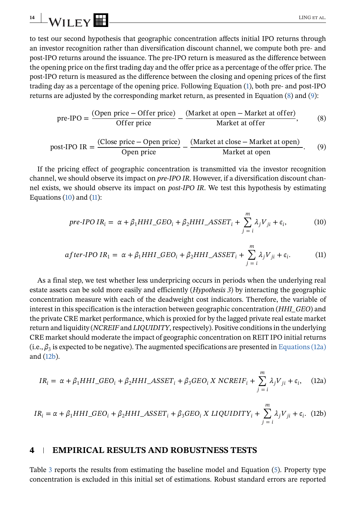<span id="page-14-0"></span>to test our second hypothesis that geographic concentration affects initial IPO returns through an investor recognition rather than diversification discount channel, we compute both pre- and post-IPO returns around the issuance. The pre-IPO return is measured as the difference between the opening price on the first trading day and the offer price as a percentage of the offer price. The post-IPO return is measured as the difference between the closing and opening prices of the first trading day as a percentage of the opening price. Following Equation [\(1\)](#page-8-0), both pre- and post-IPO returns are adjusted by the corresponding market return, as presented in Equation (8) and (9):

pre-
$$
IPO = \frac{(Open\ price - Officer\ price)}{Offer\ price} - \frac{(Market\ at\ open - Market\ at\ offer)}{Market\ at\ offer},
$$
(8)  
post-
$$
IPO IR = \frac{(Close\ price - Open\ price)}{Open\ price} - \frac{(Market\ at\ close - Market\ at\ open)}{Market\ at\ open}.
$$
(9)

If the pricing effect of geographic concentration is transmitted via the investor recognition channel, we should observe its impact on *pre-IPO IR*. However, if a diversification discount channel exists, we should observe its impact on *post-IPO IR*. We test this hypothesis by estimating Equations  $(10)$  and  $(11)$ :

pre-*IPO IR<sub>i</sub>* = 
$$
\alpha + \beta_1 HHI\_GEO_i + \beta_2 HHI\_ASSET_i + \sum_{j=i}^{m} \lambda_j V_{ji} + \epsilon_i,
$$
 (10)

$$
after\text{-}IPO\,IR_1 = \alpha + \beta_1 HHI\_\text{-}GEO_i + \beta_2 HHI\_\text{-}ASSET_i + \sum_{j=i}^{m} \lambda_j V_{ji} + \epsilon_i. \tag{11}
$$

As a final step, we test whether less underpricing occurs in periods when the underlying real estate assets can be sold more easily and efficiently (*Hypothesis 3*) by interacting the geographic concentration measure with each of the deadweight cost indicators. Therefore, the variable of interest in this specification is the interaction between geographic concentration (*HHI\_GEO*) and the private CRE market performance, which is proxied for by the lagged private real estate market return and liquidity (*NCREIF* and *LIQUIDITY*, respectively). Positive conditions in the underlying CRE market should moderate the impact of geographic concentration on REIT IPO initial returns (i.e.,  $\beta_3$  is expected to be negative). The augmented specifications are presented in Equations (12a) and (12b).

$$
IR_i = \alpha + \beta_1 HHI\_GEO_i + \beta_2 HHI\_ASSET_i + \beta_3 GEO_i \, X \, NCREIF_i + \sum_{j=i}^{m} \lambda_j V_{ji} + \epsilon_i, \quad (12a)
$$

$$
IR_i = \alpha + \beta_1 HHI\_GEO_i + \beta_2 HHI\_ASSET_i + \beta_3 GEO_i \times LIQUIDITY_i + \sum_{j=i}^{m} \lambda_j V_{ji} + \epsilon_i.
$$
 (12b)

### **4 EMPIRICAL RESULTS AND ROBUSTNESS TESTS**

Table [3](#page-15-0) reports the results from estimating the baseline model and Equation [\(5\)](#page-10-0). Property type concentration is excluded in this initial set of estimations. Robust standard errors are reported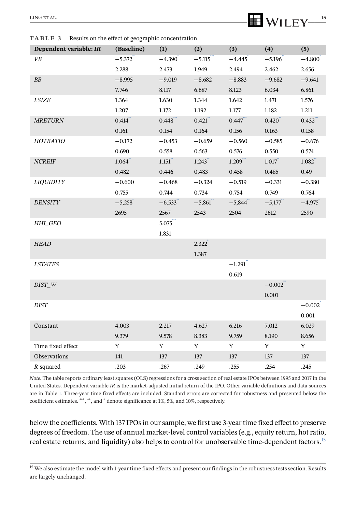<span id="page-15-0"></span>**TABLE 3** Results on the effect of geographic concentration

| Dependent variable: IR | (Baseline) | (1)         | (2)      | (3)                   | (4)       | (5)      |
|------------------------|------------|-------------|----------|-----------------------|-----------|----------|
| VB                     | $-5.372$   | $-4.390$    | $-5.115$ | $-4.445$              | $-5.196$  | $-4.800$ |
|                        | 2.288      | 2.473       | 1.949    | 2.494                 | 2.462     | 2.656    |
| BB                     | $-8.995$   | $-9.019$    | $-8.682$ | $-8.883$              | $-9.682$  | $-9.641$ |
|                        | 7.746      | 8.117       | 6.687    | 8.123                 | 6.034     | 6.861    |
| <b>LSIZE</b>           | 1.364      | 1.630       | 1.344    | 1.642                 | 1.471     | 1.576    |
|                        | 1.207      | 1.172       | 1.192    | 1.177                 | 1.182     | 1.211    |
| <b>MRETURN</b>         | 0.414      | 0.448       | 0.421    | $0.447$ ***           | 0.420     | 0.432    |
|                        | 0.161      | 0.154       | 0.164    | 0.156                 | 0.163     | 0.158    |
| HOTRATIO               | $-0.172$   | $-0.453$    | $-0.659$ | $-0.560$              | $-0.585$  | $-0.676$ |
|                        | 0.690      | 0.558       | 0.563    | 0.576                 | 0.550     | 0.574    |
| <b>NCREIF</b>          | 1.064      | 1.151       | 1.243    | 1.209                 | 1.017     | 1.082    |
|                        | 0.482      | 0.446       | 0.483    | 0.458                 | 0.485     | 0.49     |
| <b>LIQUIDITY</b>       | $-0.600$   | $-0.468$    | $-0.324$ | $-0.519$              | $-0.331$  | $-0.380$ |
|                        | 0.755      | 0.744       | 0.734    | 0.754                 | 0.749     | 0.764    |
| <b>DENSITY</b>         | $-5,258$   | $-6,533$    | $-5,861$ | $-5,844$              | $-5,177$  | $-4,975$ |
|                        | 2695       | 2567        | 2543     | 2504                  | 2612      | 2590     |
| HHI_GEO                |            | $5.075$ *** |          |                       |           |          |
|                        |            | 1.831       |          |                       |           |          |
| <b>HEAD</b>            |            |             | 2.322    |                       |           |          |
|                        |            |             | 1.387    |                       |           |          |
| <b>LSTATES</b>         |            |             |          | $-1.291$ <sup>*</sup> |           |          |
|                        |            |             |          | 0.619                 |           |          |
| $DIST_W$               |            |             |          |                       | $-0.002$  |          |
|                        |            |             |          |                       | $0.001\,$ |          |
| <b>DIST</b>            |            |             |          |                       |           | $-0.002$ |
|                        |            |             |          |                       |           | 0.001    |
| Constant               | 4.003      | 2.217       | 4.627    | 6.216                 | 7.012     | 6.029    |
|                        | 9.379      | 9.578       | 8.383    | 9.759                 | 8.190     | 8.656    |
| Time fixed effect      | Y          | Y           | Y        | Y                     | Y         | Y        |
| Observations           | 141        | 137         | 137      | 137                   | 137       | 137      |
| $R$ -squared           | .203       | .267        | .249     | .255                  | .254      | .245     |

*Note*. The table reports ordinary least squares (OLS) regressions for a cross section of real estate IPOs between 1995 and 2017 in the United States. Dependent variable *IR* is the market-adjusted initial return of the IPO. Other variable definitions and data sources are in Table [1.](#page-11-0) Three-year time fixed effects are included. Standard errors are corrected for robustness and presented below the coefficient estimates. \*\*\*, \*\*, and \* denote significance at 1%, 5%, and 10%, respectively.

below the coefficients. With 137 IPOs in our sample, we first use 3-year time fixed effect to preserve degrees of freedom. The use of annual market-level control variables (e.g., equity return, hot ratio, real estate returns, and liquidity) also helps to control for unobservable time-dependent factors.15

<sup>15</sup> We also estimate the model with 1-year time fixed effects and present our findings in the robustness tests section. Results are largely unchanged.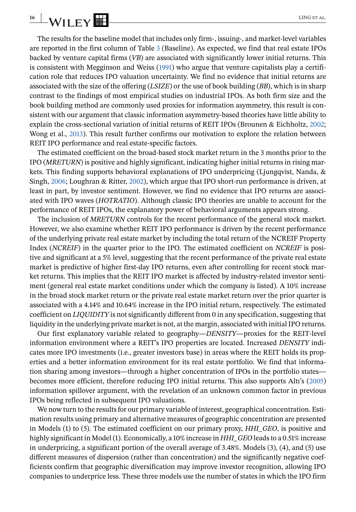The results for the baseline model that includes only firm-, issuing-, and market-level variables are reported in the first column of Table [3](#page-15-0) (Baseline). As expected, we find that real estate IPOs backed by venture capital firms (*VB*) are associated with significantly lower initial returns. This is consistent with Megginson and Weiss (1991) who argue that venture capitalists play a certification role that reduces IPO valuation uncertainty. We find no evidence that initial returns are associated with the size of the offering (*LSIZE*) or the use of book building (*BB*), which is in sharp contrast to the findings of most empirical studies on industrial IPOs. As both firm size and the book building method are commonly used proxies for information asymmetry, this result is consistent with our argument that classic information asymmetry-based theories have little ability to explain the cross-sectional variation of initial returns of REIT IPOs (Brounen & Eichholtz, 2002; Wong et al., 2013). This result further confirms our motivation to explore the relation between REIT IPO performance and real estate-specific factors.

The estimated coefficient on the broad-based stock market return in the 3 months prior to the IPO (*MRETURN*) is positive and highly significant, indicating higher initial returns in rising markets. This finding supports behavioral explanations of IPO underpricing (Ljungqvist, Nanda, & Singh, 2006; Loughran & Ritter, 2002), which argue that IPO short-run performance is driven, at least in part, by investor sentiment. However, we find no evidence that IPO returns are associated with IPO waves (*HOTRATIO*). Although classic IPO theories are unable to account for the performance of REIT IPOs, the explanatory power of behavioral arguments appears strong.

The inclusion of *MRETURN* controls for the recent performance of the general stock market. However, we also examine whether REIT IPO performance is driven by the recent performance of the underlying private real estate market by including the total return of the NCREIF Property Index (*NCREIF*) in the quarter prior to the IPO. The estimated coefficient on *NCREIF* is positive and significant at a 5% level, suggesting that the recent performance of the private real estate market is predictive of higher first-day IPO returns, even after controlling for recent stock market returns. This implies that the REIT IPO market is affected by industry-related investor sentiment (general real estate market conditions under which the company is listed). A 10% increase in the broad stock market return or the private real estate market return over the prior quarter is associated with a 4.14% and 10.64% increase in the IPO initial return, respectively. The estimated coefficient on *LIQUIDITY* is not significantly different from 0 in any specification, suggesting that liquidity in the underlying private market is not, at the margin, associated with initial IPO returns.

Our first explanatory variable related to geography—*DENSITY*—proxies for the REIT-level information environment where a REIT's IPO properties are located. Increased *DENSITY* indicates more IPO investments (i.e., greater investors base) in areas where the REIT holds its properties and a better information environment for its real estate portfolio. We find that information sharing among investors—through a higher concentration of IPOs in the portfolio states becomes more efficient, therefore reducing IPO initial returns. This also supports Altı's (2005) information spillover argument, with the revelation of an unknown common factor in previous IPOs being reflected in subsequent IPO valuations.

We now turn to the results for our primary variable of interest, geographical concentration. Estimation results using primary and alternative measures of geographic concentration are presented in Models (1) to (5). The estimated coefficient on our primary proxy, *HHI\_GEO*, is positive and highly significant in Model (1). Economically, a 10% increase in *HHI\_GEO* leads to a 0.51% increase in underpricing, a significant portion of the overall average of 3.48%. Models (3), (4), and (5) use different measures of dispersion (rather than concentration) and the significantly negative coefficients confirm that geographic diversification may improve investor recognition, allowing IPO companies to underprice less. These three models use the number of states in which the IPO firm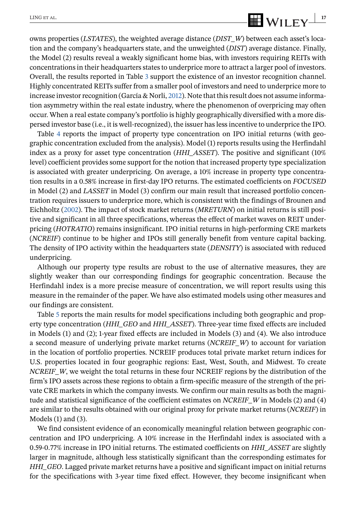# $\frac{LING ET AL.}{VHI FV}$

owns properties (*LSTATES*), the weighted average distance (*DIST\_W*) between each asset's location and the company's headquarters state, and the unweighted (*DIST*) average distance. Finally, the Model (2) results reveal a weakly significant home bias, with investors requiring REITs with concentrations in their headquarters states to underprice more to attract a larger pool of investors. Overall, the results reported in Table [3](#page-15-0) support the existence of an investor recognition channel. Highly concentrated REITs suffer from a smaller pool of investors and need to underprice more to increase investor recognition (García & Norli, 2012). Note that this result does not assume information asymmetry within the real estate industry, where the phenomenon of overpricing may often occur. When a real estate company's portfolio is highly geographically diversified with a more dispersed investor base (i.e., it is well-recognized), the issuer has less incentive to underprice the IPO.

Table [4](#page-18-0) reports the impact of property type concentration on IPO initial returns (with geographic concentration excluded from the analysis). Model (1) reports results using the Herfindahl index as a proxy for asset type concentration (*HHI\_ASSET*). The positive and significant (10% level) coefficient provides some support for the notion that increased property type specialization is associated with greater underpricing. On average, a 10% increase in property type concentration results in a 0.58% increase in first-day IPO returns. The estimated coefficients on *FOCUSED* in Model (2) and *LASSET* in Model (3) confirm our main result that increased portfolio concentration requires issuers to underprice more, which is consistent with the findings of Brounen and Eichholtz (2002). The impact of stock market returns (*MRETURN*) on initial returns is still positive and significant in all three specifications, whereas the effect of market waves on REIT underpricing (*HOTRATIO*) remains insignificant. IPO initial returns in high-performing CRE markets (*NCREIF*) continue to be higher and IPOs still generally benefit from venture capital backing. The density of IPO activity within the headquarters state (*DENSITY*) is associated with reduced underpricing.

Although our property type results are robust to the use of alternative measures, they are slightly weaker than our corresponding findings for geographic concentration. Because the Herfindahl index is a more precise measure of concentration, we will report results using this measure in the remainder of the paper. We have also estimated models using other measures and our findings are consistent.

Table [5](#page-19-0) reports the main results for model specifications including both geographic and property type concentration (*HHI\_GEO* and *HHI\_ASSET*). Three-year time fixed effects are included in Models (1) and (2); 1-year fixed effects are included in Models (3) and (4). We also introduce a second measure of underlying private market returns (*NCREIF\_W*) to account for variation in the location of portfolio properties. NCREIF produces total private market return indices for U.S. properties located in four geographic regions: East, West, South, and Midwest. To create *NCREIF\_W*, we weight the total returns in these four NCREIF regions by the distribution of the firm's IPO assets across these regions to obtain a firm-specific measure of the strength of the private CRE markets in which the company invests. We confirm our main results as both the magnitude and statistical significance of the coefficient estimates on *NCREIF\_W* in Models (2) and (4) are similar to the results obtained with our original proxy for private market returns (*NCREIF*) in Models  $(1)$  and  $(3)$ .

We find consistent evidence of an economically meaningful relation between geographic concentration and IPO underpricing. A 10% increase in the Herfindahl index is associated with a 0.59-0.77% increase in IPO initial returns. The estimated coefficients on *HHI\_ASSET* are slightly larger in magnitude, although less statistically significant than the corresponding estimates for *HHI\_GEO*. Lagged private market returns have a positive and significant impact on initial returns for the specifications with 3-year time fixed effect. However, they become insignificant when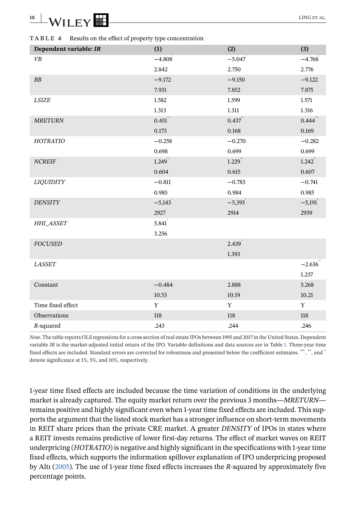<span id="page-18-0"></span>

| 18 | $\overline{\phantom{a}}$ | -  | IN |  |
|----|--------------------------|----|----|--|
|    | _                        | ▁▛ |    |  |

**TABLE 4** Results on the effect of property type concentration

| Dependent variable: IR | (1)      | (2)      | (3)                  |
|------------------------|----------|----------|----------------------|
| VB                     | $-4.808$ | $-5.047$ | $-4.768$             |
|                        | 2.842    | 2.750    | 2.776                |
| BB                     | $-9.172$ | $-9.150$ | $-9.122$             |
|                        | 7.931    | 7.852    | 7.875                |
| <b>LSIZE</b>           | 1.582    | 1.599    | 1.571                |
|                        | 1.313    | 1.311    | 1.316                |
| <b>MRETURN</b>         | 0.451    | 0.437    | 0.444                |
|                        | 0.173    | 0.168    | 0.169                |
| HOTRATIO               | $-0.258$ | $-0.270$ | $-0.282$             |
|                        | 0.698    | 0.699    | 0.699                |
| <b>NCREIF</b>          | 1.249    | 1.229    | $1.242$ <sup>"</sup> |
|                        | 0.604    | 0.615    | 0.607                |
| <b>LIQUIDITY</b>       | $-0.811$ | $-0.783$ | $-0.741$             |
|                        | 0.985    | 0.984    | 0.985                |
| <b>DENSITY</b>         | $-5,143$ | $-5,393$ | $-5,191$             |
|                        | 2927     | 2914     | 2939                 |
| HHI_ASSET              | 5.841    |          |                      |
|                        | 3.256    |          |                      |
| <b>FOCUSED</b>         |          | 2.439    |                      |
|                        |          | 1.393    |                      |
| <b>LASSET</b>          |          |          | $-2.636$             |
|                        |          |          | 1.237                |
| Constant               | $-0.484$ | 2.888    | 5.268                |
|                        | 10.53    | 10.19    | 10.21                |
| Time fixed effect      | Y        | Y        | Y                    |
| Observations           | $118\,$  | $118\,$  | $118\,$              |
| $R$ -squared           | .243     | .244     | .246                 |

*Note*. The table reports OLS regressions for a cross section of real estate IPOs between 1995 and 2017 in the United States. Dependent variable *IR* is the market-adjusted initial return of the IPO. Variable definitions and data sources are in Table [1.](#page-11-0) Three-year time fixed effects are included. Standard errors are corrected for robustness and presented below the coefficient estimates. \*\*\*, \*\*, and \* denote significance at 1%, 5%, and 10%, respectively.

1-year time fixed effects are included because the time variation of conditions in the underlying market is already captured. The equity market return over the previous 3 months—*MRETURN* remains positive and highly significant even when 1-year time fixed effects are included. This supports the argument that the listed stock market has a stronger influence on short-term movements in REIT share prices than the private CRE market. A greater *DENSITY* of IPOs in states where a REIT invests remains predictive of lower first-day returns. The effect of market waves on REIT underpricing (*HOTRATIO*) is negative and highly significant in the specifications with 1-year time fixed effects, which supports the information spillover explanation of IPO underpricing proposed by Altı (2005). The use of 1-year time fixed effects increases the *R*-squared by approximately five percentage points.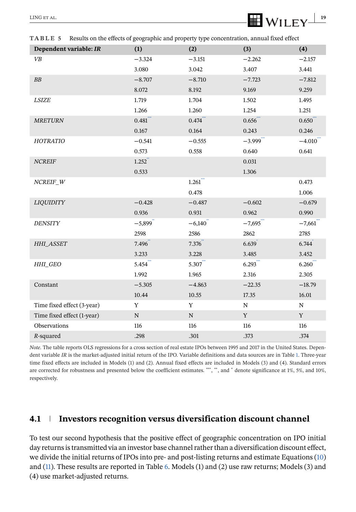<span id="page-19-0"></span>

| Dependent variable: IR     | (1)                    | (2)                   | (3)                     | (4)                   |
|----------------------------|------------------------|-----------------------|-------------------------|-----------------------|
| VB                         | $-3.324$               | $-3.151$              | $-2.262$                | $-2.157$              |
|                            | 3.080                  | 3.042                 | 3.407                   | 3.441                 |
| BB                         | $-8.707$               | $-8.710$              | $-7.723$                | $-7.812$              |
|                            | 8.072                  | 8.192                 | 9.169                   | 9.259                 |
| <b>LSIZE</b>               | 1.719                  | 1.704                 | 1.502                   | 1.495                 |
|                            | 1.266                  | 1.260                 | 1.254                   | 1.251                 |
| <b>MRETURN</b>             | $0.481$ ***            | $0.474$ ***           | 0.656                   | 0.650                 |
|                            | 0.167                  | 0.164                 | 0.243                   | 0.246                 |
| HOTRATIO                   | $-0.541$               | $-0.555$              | $-3.999$ <sup>-1</sup>  | $-4.010$ <sup>*</sup> |
|                            | 0.573                  | 0.558                 | 0.640                   | 0.641                 |
| <b>NCREIF</b>              | 1.252                  |                       | 0.031                   |                       |
|                            | 0.533                  |                       | 1.306                   |                       |
| $NCREIF_W$                 |                        | $1.261$ <sup>**</sup> |                         | 0.473                 |
|                            |                        | 0.478                 |                         | 1.006                 |
| <b>LIQUIDITY</b>           | $-0.428$               | $-0.487$              | $-0.602$                | $-0.679$              |
|                            | 0.936                  | 0.931                 | 0.962                   | 0.990                 |
| <b>DENSITY</b>             | $-5,899$ <sup>**</sup> | $-6,140$              | $-7,695$ <sup>***</sup> | $-7,661$              |
|                            | 2598                   | 2586                  | 2862                    | 2785                  |
| HHI_ASSET                  | 7.496                  | 7.376                 | 6.639                   | 6.744                 |
|                            | 3.233                  | 3.228                 | 3.485                   | 3.452                 |
| HHI_GEO                    | 5.454                  | 5.307                 | 6.293                   | 6.260                 |
|                            | 1.992                  | 1.965                 | 2.316                   | 2.305                 |
| Constant                   | $-5.305$               | $-4.863$              | $-22.35$                | $-18.79$              |
|                            | 10.44                  | 10.55                 | 17.35                   | 16.01                 |
| Time fixed effect (3-year) | Y                      | $\mathbf Y$           | ${\bf N}$               | ${\bf N}$             |
| Time fixed effect (1-year) | $\mathbf N$            | ${\bf N}$             | $\mathbf Y$             | Y                     |
| Observations               | 116                    | 116                   | 116                     | 116                   |
| R-squared                  | .298                   | .301                  | .373                    | .374                  |

*Note*. The table reports OLS regressions for a cross section of real estate IPOs between 1995 and 2017 in the United States. Dependent variable *IR* is the market-adjusted initial return of the IPO. Variable definitions and data sources are in Table [1.](#page-11-0) Three-year time fixed effects are included in Models (1) and (2). Annual fixed effects are included in Models (3) and (4). Standard errors are corrected for robustness and presented below the coefficient estimates. \*\*\*, \*\*, and \* denote significance at 1%, 5%, and 10%, respectively.

### **4.1 Investors recognition versus diversification discount channel**

To test our second hypothesis that the positive effect of geographic concentration on IPO initial day returns is transmitted via an investor base channel rather than a diversification discount effect, we divide the initial returns of IPOs into pre- and post-listing returns and estimate Equations [\(10\)](#page-14-0) and [\(11\)](#page-14-0). These results are reported in Table [6.](#page-20-0) Models (1) and (2) use raw returns; Models (3) and (4) use market-adjusted returns.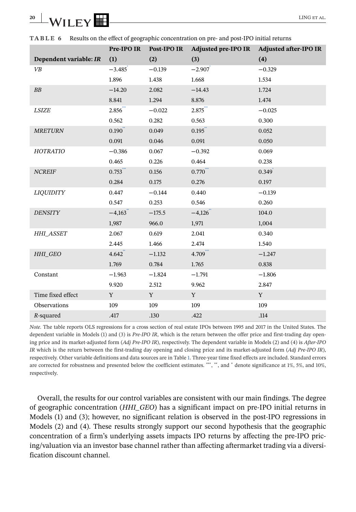<span id="page-20-0"></span>

| 20 | _                        |  | <b>INC</b><br>A1. |
|----|--------------------------|--|-------------------|
|    | $\overline{\phantom{0}}$ |  |                   |

|                        | Pre-IPO IR | Post-IPO IR | Adjusted pre-IPO IR | <b>Adjusted after-IPO IR</b> |
|------------------------|------------|-------------|---------------------|------------------------------|
| Dependent variable: IR | (1)        | (2)         | (3)                 | (4)                          |
| VB                     | $-3.485$   | $-0.139$    | $-2.907$            | $-0.329$                     |
|                        | 1.896      | 1.438       | 1.668               | 1.534                        |
| ${\cal B}{\cal B}$     | $-14.20$   | 2.082       | $-14.43$            | 1.724                        |
|                        | 8.841      | 1.294       | 8.876               | 1.474                        |
| <b>LSIZE</b>           | 2.856      | $-0.022$    | 2.875               | $-0.025$                     |
|                        | 0.562      | 0.282       | 0.563               | 0.300                        |
| <b>MRETURN</b>         | 0.190      | 0.049       | 0.195               | 0.052                        |
|                        | 0.091      | 0.046       | 0.091               | 0.050                        |
| HOTRATIO               | $-0.386$   | 0.067       | $-0.392$            | 0.069                        |
|                        | 0.465      | 0.226       | 0.464               | 0.238                        |
| <b>NCREIF</b>          | 0.753      | 0.156       | 0.770               | 0.349                        |
|                        | 0.284      | 0.175       | 0.276               | 0.197                        |
| <b>LIQUIDITY</b>       | 0.447      | $-0.144$    | 0.440               | $-0.139$                     |
|                        | 0.547      | 0.253       | 0.546               | 0.260                        |
| <b>DENSITY</b>         | $-4,163$   | $-175.5$    | $-4,126$            | 104.0                        |
|                        | 1,987      | 966.0       | 1,971               | 1,004                        |
| <b>HHI ASSET</b>       | 2.067      | 0.619       | 2.041               | 0.340                        |
|                        | 2.445      | 1.466       | 2.474               | 1.540                        |
| HHI_GEO                | 4.642      | $-1.132$    | 4.709               | $-1.247$                     |
|                        | 1.769      | 0.784       | 1.765               | 0.838                        |
| Constant               | $-1.963$   | $-1.824$    | $-1.791$            | $-1.806$                     |
|                        | 9.920      | 2.512       | 9.962               | 2.847                        |
| Time fixed effect      | Y          | Y           | Y                   | Y                            |
| Observations           | 109        | 109         | 109                 | 109                          |
| R-squared              | .417       | .130        | .422                | $.114$                       |

**TABLE 6** Results on the effect of geographic concentration on pre- and post-IPO initial returns

*Note*. The table reports OLS regressions for a cross section of real estate IPOs between 1995 and 2017 in the United States. The dependent variable in Models (1) and (3) is *Pre-IPO IR*, which is the return between the offer price and first-trading day opening price and its market-adjusted form (*Adj Pre-IPO IR*), respectively. The dependent variable in Models (2) and (4) is *After-IPO IR* which is the return between the first-trading day opening and closing price and its market-adjusted form (*Adj Pre-IPO IR*), respectively. Other variable definitions and data sources are in Table [1.](#page-11-0) Three-year time fixed effects are included. Standard errors are corrected for robustness and presented below the coefficient estimates. \*\*\*, \*\*, and \* denote significance at 1%, 5%, and 10%, respectively.

Overall, the results for our control variables are consistent with our main findings. The degree of geographic concentration (*HHI\_GEO*) has a significant impact on pre-IPO initial returns in Models (1) and (3); however, no significant relation is observed in the post-IPO regressions in Models (2) and (4). These results strongly support our second hypothesis that the geographic concentration of a firm's underlying assets impacts IPO returns by affecting the pre-IPO pricing/valuation via an investor base channel rather than affecting aftermarket trading via a diversification discount channel.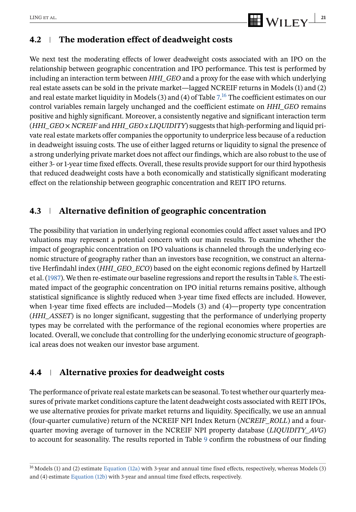

### **4.2 The moderation effect of deadweight costs**

We next test the moderating effects of lower deadweight costs associated with an IPO on the relationship between geographic concentration and IPO performance. This test is performed by including an interaction term between *HHI\_GEO* and a proxy for the ease with which underlying real estate assets can be sold in the private market—lagged NCREIF returns in Models (1) and (2) and real estate market liquidity in Models (3) and (4) of Table [7.](#page-22-0) <sup>16</sup> The coefficient estimates on our control variables remain largely unchanged and the coefficient estimate on *HHI\_GEO* remains positive and highly significant. Moreover, a consistently negative and significant interaction term (*HHI\_GEO* × *NCREIF* and *HHI\_GEO x LIQUIDITY*) suggests that high-performing and liquid private real estate markets offer companies the opportunity to underprice less because of a reduction in deadweight issuing costs. The use of either lagged returns or liquidity to signal the presence of a strong underlying private market does not affect our findings, which are also robust to the use of either 3- or 1-year time fixed effects. Overall, these results provide support for our third hypothesis that reduced deadweight costs have a both economically and statistically significant moderating effect on the relationship between geographic concentration and REIT IPO returns.

### **4.3 Alternative definition of geographic concentration**

The possibility that variation in underlying regional economies could affect asset values and IPO valuations may represent a potential concern with our main results. To examine whether the impact of geographic concentration on IPO valuations is channeled through the underlying economic structure of geography rather than an investors base recognition, we construct an alternative Herfindahl index (*HHI\_GEO\_ECO*) based on the eight economic regions defined by Hartzell et al. (1987). We then re-estimate our baseline regressions and report the results in Table [8.](#page-23-0) The estimated impact of the geographic concentration on IPO initial returns remains positive, although statistical significance is slightly reduced when 3-year time fixed effects are included. However, when 1-year time fixed effects are included—Models (3) and (4)—property type concentration (*HHI\_ASSET*) is no longer significant, suggesting that the performance of underlying property types may be correlated with the performance of the regional economies where properties are located. Overall, we conclude that controlling for the underlying economic structure of geographical areas does not weaken our investor base argument.

### **4.4 Alternative proxies for deadweight costs**

The performance of private real estate markets can be seasonal. To test whether our quarterly measures of private market conditions capture the latent deadweight costs associated with REIT IPOs, we use alternative proxies for private market returns and liquidity. Specifically, we use an annual (four-quarter cumulative) return of the NCREIF NPI Index Return (*NCREIF\_ROLL*) and a fourquarter moving average of turnover in the NCREIF NPI property database (*LIQUIDITY\_AVG*) to account for seasonality. The results reported in Table [9](#page-24-0) confirm the robustness of our finding

<sup>16</sup> Models (1) and (2) estimate [Equation \(12a\)](#page-14-0) with 3-year and annual time fixed effects, respectively, whereas Models (3) and (4) estimate [Equation \(12b\)](#page-14-0) with 3-year and annual time fixed effects, respectively.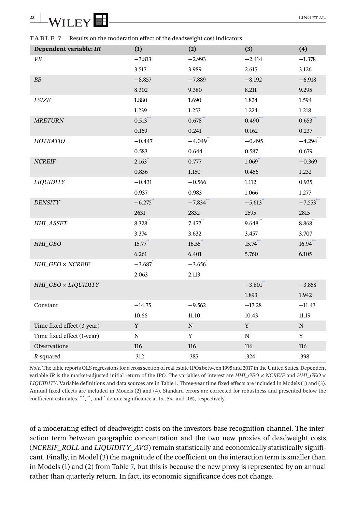<span id="page-22-0"></span>**TABLE 7** Results on the moderation effect of the deadweight cost indicators

| Dependent variable: IR     | (1)         | (2)         | (3)         | (4)         |
|----------------------------|-------------|-------------|-------------|-------------|
| VB                         | $-3.813$    | $-2.993$    | $-2.414$    | $-1.378$    |
|                            | 3.517       | 3.989       | 2.615       | 3.126       |
| ${\cal B}{\cal B}$         | $-8.857$    | $-7.889$    | $-8.192$    | $-6.918$    |
|                            | 8.302       | 9.380       | 8.211       | 9.295       |
| $LSIZE$                    | 1.880       | 1.690       | 1.824       | 1.594       |
|                            | 1.239       | 1.253       | 1.224       | 1.218       |
| <b>MRETURN</b>             | $0.513$ *** | $0.678$ *** | 0.490       | 0.653       |
|                            | 0.169       | 0.241       | 0.162       | 0.237       |
| HOTRATIO                   | $-0.447$    | $-4.049$    | $-0.495$    | $-4.294$    |
|                            | 0.583       | 0.644       | 0.587       | 0.679       |
| NCREIF                     | 2.163       | 0.777       | 1.069       | $-0.369$    |
|                            | 0.836       | 1.150       | 0.456       | 1.232       |
| <b>LIQUIDITY</b>           | $-0.431$    | $-0.566$    | 1.112       | 0.935       |
|                            | 0.937       | 0.983       | 1.066       | 1.277       |
| <b>DENSITY</b>             | $-6,275$    | $-7,834$    | $-5,613$    | $-7,553$    |
|                            | 2631        | 2832        | 2595        | 2815        |
| HHI_ASSET                  | 8.328'''    | 7.477       | 9.648       | 8.868       |
|                            | 3.374       | 3.632       | 3.457       | 3.707       |
| $HHI_GEO$                  | 15.77"      | 16.55       | 15.74       | $16.94$ *** |
|                            | 6.261       | 6.401       | 5.760       | 6.105       |
| HHI_GEO × NCREIF           | $-3.687$    | $-3.656$    |             |             |
|                            | 2.063       | 2.113       |             |             |
| HHI_GEO × LIQUIDITY        |             |             | $-3.801$    | $-3.858$    |
|                            |             |             | 1.893       | 1.942       |
| Constant                   | $-14.75$    | $-9.562$    | $-17.28$    | $-11.43$    |
|                            | 10.66       | 11.10       | 10.43       | 11.19       |
| Time fixed effect (3-year) | Y           | ${\bf N}$   | Y           | ${\rm N}$   |
| Time fixed effect (1-year) | $\mathbf N$ | Y           | $\mathbf N$ | Y           |
| Observations               | 116         | $116\,$     | 116         | $116\,$     |
| R-squared                  | .312        | .385        | .324        | .398        |

*Note*. The table reports OLS regressions for a cross section of real estate IPOs between 1995 and 2017 in the United States. Dependent variable *IR* is the market-adjusted initial return of the IPO. The variables of interest are *HHI\_GEO* × *NCREIF* and *HHI\_GEO* × *LIQUIDITY*. Variable definitions and data sources are in Table [1.](#page-11-0) Three-year time fixed effects are included in Models (1) and (3). Annual fixed effects are included in Models (2) and (4). Standard errors are corrected for robustness and presented below the coefficient estimates. \*\*\*, \*\*, and \* denote significance at 1%, 5%, and 10%, respectively.

of a moderating effect of deadweight costs on the investors base recognition channel. The interaction term between geographic concentration and the two new proxies of deadweight costs (*NCREIF\_ROLL* and *LIQUIDITY\_AVG*) remain statistically and economically statistically significant. Finally, in Model (3) the magnitude of the coefficient on the interaction term is smaller than in Models (1) and (2) from Table 7, but this is because the new proxy is represented by an annual rather than quarterly return. In fact, its economic significance does not change.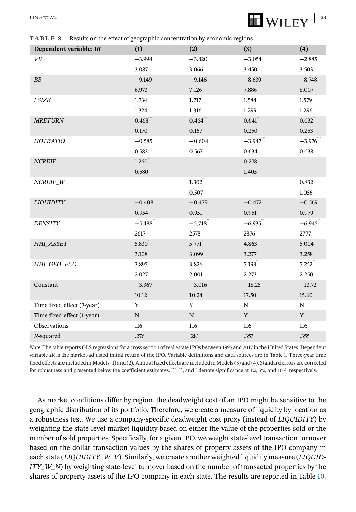# <span id="page-23-0"></span> $\frac{LING ET AL.}{LING ET AL.}$

**TABLE 8** Results on the effect of geographic concentration by economic regions

| Dependent variable: IR     | (1)       | (2)                   | (3)       | (4)       |
|----------------------------|-----------|-----------------------|-----------|-----------|
| VB                         | $-3.994$  | $-3.820$              | $-3.054$  | $-2.885$  |
|                            | 3.087     | 3.066                 | 3.450     | 3.503     |
| BB                         | $-9.149$  | $-9.146$              | $-8.639$  | $-8.748$  |
|                            | 6.973     | 7.126                 | 7.886     | 8.007     |
| <b>LSIZE</b>               | 1.734     | 1.717                 | 1.584     | 1.579     |
|                            | 1.324     | 1.316                 | 1.299     | 1.296     |
| <b>MRETURN</b>             | 0.468     | 0.464                 | 0.641     | 0.632     |
|                            | $0.170\,$ | 0.167                 | 0.250     | 0.253     |
| HOTRATIO                   | $-0.585$  | $-0.604$              | $-3.947$  | $-3.976$  |
|                            | 0.583     | 0.567                 | 0.634     | 0.638     |
| <b>NCREIF</b>              | 1.260     |                       | 0.278     |           |
|                            | 0.580     |                       | 1.405     |           |
| $NCREIF_W$                 |           | $1.302$ <sup>**</sup> |           | 0.832     |
|                            |           | 0.507                 |           | 1.056     |
| <b>LIQUIDITY</b>           | $-0.408$  | $-0.479$              | $-0.472$  | $-0.569$  |
|                            | 0.954     | 0.951                 | 0.951     | 0.979     |
| <b>DENSITY</b>             | $-5,488$  | $-5,748$              | $-6,935$  | $-6,945$  |
|                            | 2617      | 2578                  | 2876      | 2777      |
| HHI_ASSET                  | 5.830     | 5.771                 | 4.863     | 5.004     |
|                            | 3.108     | 3.099                 | 3.277     | 3.258     |
| HHI_GEO_ECO                | 3.895     | 3.826                 | 5.193     | 5.252     |
|                            | 2.027     | 2.001                 | 2.273     | 2.250     |
| Constant                   | $-3.367$  | $-3.016$              | $-18.25$  | $-13.72$  |
|                            | 10.12     | 10.24                 | 17.50     | 15.60     |
| Time fixed effect (3-year) | Y         | $\mathbf Y$           | ${\bf N}$ | ${\bf N}$ |
| Time fixed effect (1-year) | ${\bf N}$ | $\mathbf N$           | Y         | Y         |
| Observations               | 116       | 116                   | 116       | 116       |
| $R$ -squared               | .276      | .281                  | .353      | .355      |

*Note*. The table reports OLS regressions for a cross section of real estate IPOs between 1995 and 2017 in the United States. Dependent variable *IR* is the market-adjusted initial return of the IPO. Variable definitions and data sources are in Table [1.](#page-11-0) Three-year time fixed effects are included in Models (1) and (2). Annual fixed effects are included in Models (3) and (4). Standard errors are corrected for robustness and presented below the coefficient estimates. \*\*\*, \*\*, and \* denote significance at 1%, 5%, and 10%, respectively.

As market conditions differ by region, the deadweight cost of an IPO might be sensitive to the geographic distribution of its portfolio. Therefore, we create a measure of liquidity by location as a robustness test. We use a company-specific deadweight cost proxy (instead of *LIQUIDITY*) by weighting the state-level market liquidity based on either the value of the properties sold or the number of sold properties. Specifically, for a given IPO, we weight state-level transaction turnover based on the dollar transaction values by the shares of property assets of the IPO company in each state (*LIQUIDITY\_W\_V*). Similarly, we create another weighted liquidity measure (*LIQUID*-*ITY\_W\_N*) by weighting state-level turnover based on the number of transacted properties by the shares of property assets of the IPO company in each state. The results are reported in Table [10.](#page-25-0)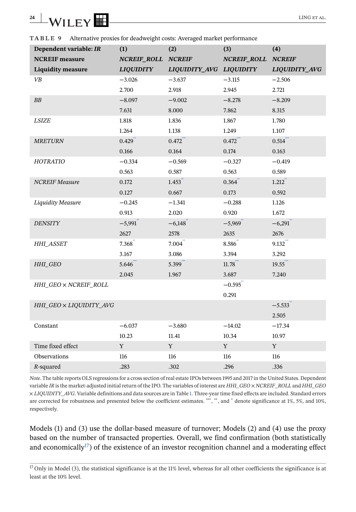<span id="page-24-0"></span>**TABLE 9** Alternative proxies for deadweight costs: Averaged market performance

| Dependent variable: IR   | (1)                | (2)                     | (3)                | (4)           |
|--------------------------|--------------------|-------------------------|--------------------|---------------|
| <b>NCREIF</b> measure    | NCREIF_ROLL NCREIF |                         | NCREIF_ROLL NCREIF |               |
| <b>Liquidity measure</b> | <b>LIQUIDITY</b>   | LIQUIDITY_AVG LIQUIDITY |                    | LIQUIDITY_AVG |
| VB                       | $-3.026$           | $-3.637$                | $-3.115$           | $-2.506$      |
|                          | 2.700              | 2.918                   | 2.945              | 2.721         |
| BB                       | $-8.097$           | $-9.002$                | $-8.278$           | $-8.209$      |
|                          | 7.631              | 8.000                   | 7.862              | 8.315         |
| LSIZE                    | 1.818              | 1.836                   | 1.867              | 1.780         |
|                          | 1.264              | 1.138                   | 1.249              | 1.107         |
| <b>MRETURN</b>           | 0.429              | 0.472                   | 0.472              | 0.514         |
|                          | 0.166              | 0.164                   | 0.174              | 0.163         |
| HOTRATIO                 | $-0.334$           | $-0.569$                | $-0.327$           | $-0.419$      |
|                          | 0.563              | 0.587                   | 0.563              | 0.589         |
| <b>NCREIF</b> Measure    | 0.172              | 1.453                   | 0.364              | 1.212         |
|                          | 0.127              | 0.667                   | 0.173              | 0.592         |
| <b>Liquidity Measure</b> | $-0.245$           | $-1.341$                | $-0.288$           | 1.126         |
|                          | 0.913              | 2.020                   | 0.920              | 1.672         |
| <b>DENSITY</b>           | $-5,991$           | $-6,148$                | $-5,969$           | $-6,291$      |
|                          | 2627               | 2578                    | 2635               | 2676          |
| <b>HHI_ASSET</b>         | $7.368$ **         | 7.004                   | 8.586              | 9.132         |
|                          | 3.167              | 3.086                   | 3.394              | 3.292         |
| HHI GEO                  | 5.646              | 5.399                   | 11.78              | 19.55         |
|                          | 2.045              | 1.967                   | 3.687              | 7.240         |
| HHI_GEO × NCREIF_ROLL    |                    |                         | $-0.595$           |               |
|                          |                    |                         | 0.291              |               |
| HHI_GEO × LIQUIDITY_AVG  |                    |                         |                    | $-5.533$      |
|                          |                    |                         |                    | 2.505         |
| Constant                 | $-6.037$           | $-3.680$                | $-14.02$           | $-17.34$      |
|                          | 10.23              | 11.41                   | 10.34              | 10.97         |
| Time fixed effect        | Y                  | Y                       | Y                  | $\mathbf Y$   |
| Observations             | 116                | 116                     | 116                | 116           |
| $R$ -squared             | .283               | .302                    | .296               | .336          |

*Note*. The table reports OLS regressions for a cross section of real estate IPOs between 1995 and 2017 in the United States. Dependent variable *IR* is the market-adjusted initial return of the IPO. The variables of interest are *HHI\_GEO* × *NCREIF\_ROLL* and *HHI\_GEO* × *LIQUIDITY\_AVG*. Variable definitions and data sources are in Table [1.](#page-11-0) Three-year time fixed effects are included. Standard errors are corrected for robustness and presented below the coefficient estimates. \*\*\*, \*\*, and \* denote significance at 1%, 5%, and 10%, respectively.

Models (1) and (3) use the dollar-based measure of turnover; Models (2) and (4) use the proxy based on the number of transacted properties. Overall, we find confirmation (both statistically and economically<sup>17</sup>) of the existence of an investor recognition channel and a moderating effect

 $17$  Only in Model (3), the statistical significance is at the 11% level, whereas for all other coefficients the significance is at least at the 10% level.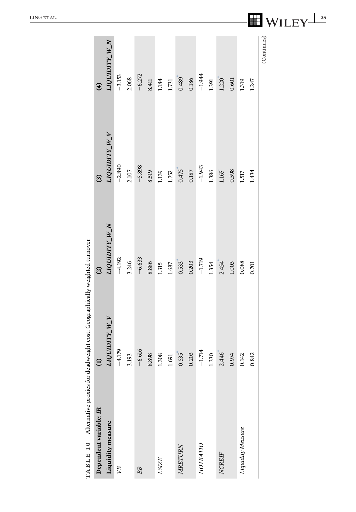| TABLE 10 Alternative proxies for deadweight cost: Geographically weighted turnover |                 |                |                |                      |
|------------------------------------------------------------------------------------|-----------------|----------------|----------------|----------------------|
| Dependent variable: IR                                                             | $\widehat{\Xi}$ | $\overline{c}$ | $\overline{3}$ | $\mathbf{r}$         |
| Liquidity measure                                                                  | LIQUIDITY_W_V   | LIQUIDITY_W_N  | LIQUIDITY_W_V  | LIQUIDITY_W_N        |
| УB                                                                                 | $-4.179$        | $-4.192$       | $-2.890$       | $-3.153$             |
|                                                                                    | 3.193           | 3.246          | 2.107          | 2.068                |
| BB                                                                                 | $-6.616$        | $-6.633$       | $-5.898$       | $-6.272$             |
|                                                                                    | 8.898           | 8.886          | 8.519          | 8.411                |
| LSIZE                                                                              | 1.308           | 1.315          | 1.139          | 1.184                |
|                                                                                    | $1.691\,$       | 1.687          | 1.752          | 1.731                |
| MRETURN                                                                            | 0.535           | 0.533          | 0.475          | $0.489$ <sup>*</sup> |
|                                                                                    | 0.203           | 0.203          | 0.187          | 0.186                |
| HOTRATIO                                                                           | $-1.714$        | $-1.719$       | $-1.943$       | $-1.944$             |
|                                                                                    | 1.330           | 1.354          | 1.386          | 1.391                |
| <b>NCREIF</b>                                                                      | 2.446           | 2.454          | 1.165          | 1.220                |
|                                                                                    | 0.974           | 1.003          | 0.598          | 0.601                |
| Liquidity Measure                                                                  | 0.142           | 0.088          | $1.517$        | 1.319                |
|                                                                                    | 0.842           | 0.701          | 1.434          | 1.247                |
|                                                                                    |                 |                |                | (Continues)          |

<span id="page-25-0"></span> $\frac{LING ET AL.}{25}$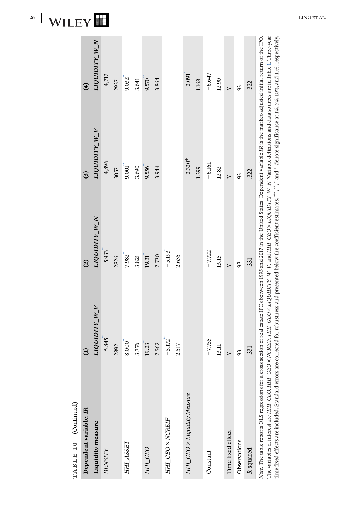<span id="page-26-0"></span>

| 26 | n      |  | $^{\circ}$ ING.<br>AL. |
|----|--------|--|------------------------|
|    | -<br>_ |  |                        |

| Dependent variable: IR                                                                                                                                                                                                                                                                                                                                                                                                                                          |                     | $\widehat{c}$                                                                                                                      | $\overline{c}$ | $\mathbf{r}$  |
|-----------------------------------------------------------------------------------------------------------------------------------------------------------------------------------------------------------------------------------------------------------------------------------------------------------------------------------------------------------------------------------------------------------------------------------------------------------------|---------------------|------------------------------------------------------------------------------------------------------------------------------------|----------------|---------------|
| Liquidity measure                                                                                                                                                                                                                                                                                                                                                                                                                                               | <b>TAN ALIANDIT</b> | <b>NV ALAMONT</b>                                                                                                                  | LIQUIDITY_W_V  | LIQUIDITY_W_N |
| <b>DENSITY</b>                                                                                                                                                                                                                                                                                                                                                                                                                                                  | $-5,845$            | $-5,933$                                                                                                                           | $-4,896$       | $-4,712$      |
|                                                                                                                                                                                                                                                                                                                                                                                                                                                                 | 2892                | 2826                                                                                                                               | 3057           | 2937          |
| HHI_ASSET                                                                                                                                                                                                                                                                                                                                                                                                                                                       | $8.000^{4}$         | 7.982                                                                                                                              | 9.001          | 9.032         |
|                                                                                                                                                                                                                                                                                                                                                                                                                                                                 | 3.776               | 3.821                                                                                                                              | 3.690          | 3.641         |
| HHI_GEO                                                                                                                                                                                                                                                                                                                                                                                                                                                         | 19.23               | 19.31                                                                                                                              | 9.556          | 9.570         |
|                                                                                                                                                                                                                                                                                                                                                                                                                                                                 | 7.562               | 7.730                                                                                                                              | 3.944          | 3.864         |
| HHL_GEO × NCREIF                                                                                                                                                                                                                                                                                                                                                                                                                                                | $-5.172$            | $-5.193$                                                                                                                           |                |               |
|                                                                                                                                                                                                                                                                                                                                                                                                                                                                 | 2.517               | 2.635                                                                                                                              |                |               |
| HHI_GEO x Liquidity Measure                                                                                                                                                                                                                                                                                                                                                                                                                                     |                     |                                                                                                                                    | $-2.320+$      | $-2.091$      |
|                                                                                                                                                                                                                                                                                                                                                                                                                                                                 |                     |                                                                                                                                    | 1.399          | 1.168         |
| Constant                                                                                                                                                                                                                                                                                                                                                                                                                                                        | $-7.755$            | $-7.722$                                                                                                                           | $-6.161$       | $-6.647$      |
|                                                                                                                                                                                                                                                                                                                                                                                                                                                                 | 13.11               | 13.15                                                                                                                              | 12.82          | 12.90         |
| Time fixed effect                                                                                                                                                                                                                                                                                                                                                                                                                                               | Υ                   | $\ddot{ }$                                                                                                                         | $\ddot{ }$     | $\mathsf{Y}$  |
| Observations                                                                                                                                                                                                                                                                                                                                                                                                                                                    | 93                  | 93                                                                                                                                 | 93             | 93            |
| R-squared                                                                                                                                                                                                                                                                                                                                                                                                                                                       | .331                | 331                                                                                                                                | .322           | .322          |
| Note. The table reports OLS regressions for a cross section of real estate IPOs between 1995 and 2017 in the United States. Dependent variable IR is the market-adjusted initial return of the IPO.<br>time fixed effects are included. Standard errors are corrected for robustness and presented below the coefficient estimates. ***, **, and + denote significance at 1%, 5%, 10%, and 15%, respectively.<br>The variables of interest are HHI_GEO, HHI_GEO |                     | x NCREIF, HHL_GEO x LIQUIDITY_ W_V, and HHL_GEO x LIQUIDITY_ W_N. Variable definitions and data sources are in Table 1. Three-year |                |               |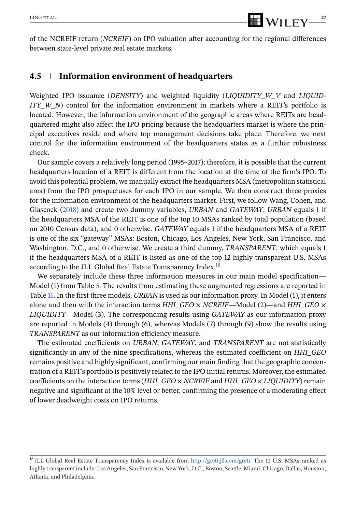of the NCREIF return (*NCREIF*) on IPO valuation after accounting for the regional differences between state-level private real estate markets.

### **4.5 Information environment of headquarters**

Weighted IPO issuance (*DENSITY*) and weighted liquidity (*LIQUIDITY\_W\_V* and *LIQUID-ITY W\_N*) control for the information environment in markets where a REIT's portfolio is located. However, the information environment of the geographic areas where REITs are headquartered might also affect the IPO pricing because the headquarters market is where the principal executives reside and where top management decisions take place. Therefore, we next control for the information environment of the headquarters states as a further robustness check.

Our sample covers a relatively long period (1995–2017); therefore, it is possible that the current headquarters location of a REIT is different from the location at the time of the firm's IPO. To avoid this potential problem, we manually extract the headquarters MSA (metropolitan statistical area) from the IPO prospectuses for each IPO in our sample. We then construct three proxies for the information environment of the headquarters market. First, we follow Wang, Cohen, and Glascock (2018) and create two dummy variables, *URBAN* and *GATEWAY*. *URBAN* equals 1 if the headquarters MSA of the REIT is one of the top 10 MSAs ranked by total population (based on 2010 Census data), and 0 otherwise. *GATEWAY* equals 1 if the headquarters MSA of a REIT is one of the six "gateway" MSAs: Boston, Chicago, Los Angeles, New York, San Francisco, and Washington, D.C., and 0 otherwise. We create a third dummy, *TRANSPARENT*, which equals 1 if the headquarters MSA of a REIT is listed as one of the top 12 highly transparent U.S. MSAs according to the JLL Global Real Estate Transparency Index.<sup>18</sup>

We separately include these three information measures in our main model specification— Model (1) from Table [5.](#page-19-0) The results from estimating these augmented regressions are reported in Table [11.](#page-28-0) In the first three models, *URBAN* is used as our information proxy. In Model (1), it enters alone and then with the interaction terms *HHI\_GEO* × *NCREIF*—Model (2)—and *HHI\_GEO* × *LIQUIDITY*—Model (3). The corresponding results using *GATEWAY* as our information proxy are reported in Models (4) through (6), whereas Models (7) through (9) show the results using *TRANSPARENT* as our information efficiency measure.

The estimated coefficients on *URBAN*, *GATEWAY*, and *TRANSPARENT* are not statistically significantly in any of the nine specifications, whereas the estimated coefficient on *HHI\_GEO* remains positive and highly significant, confirming our main finding that the geographic concentration of a REIT's portfolio is positively related to the IPO initial returns. Moreover, the estimated coefficients on the interaction terms (*HHI\_GEO* × *NCREIF* and *HHI\_GEO* × *LIQUIDITY*) remain negative and significant at the 10% level or better, confirming the presence of a moderating effect of lower deadweight costs on IPO returns.

<sup>18</sup> JLL Global Real Estate Transparency Index is available from [http://greti.jll.com/greti.](http://greti.jll.com/greti) The 12 U.S. MSAs ranked as highly transparent include: Los Angeles, San Francisco, New York, D.C., Boston, Seattle, Miami, Chicago, Dallas, Houston, Atlanta, and Philadelphia.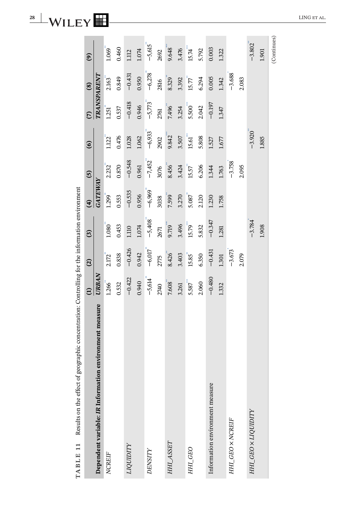<span id="page-28-0"></span>**28** WILEY **LING ET AL.** 

| Results on the effect of geographic concentration: Controlling for the information environment<br>TABLE 11 |               |               |                       |                |                |                       |               |               |                      |
|------------------------------------------------------------------------------------------------------------|---------------|---------------|-----------------------|----------------|----------------|-----------------------|---------------|---------------|----------------------|
|                                                                                                            | $\widehat{E}$ | $\widehat{c}$ | $\mathbf{G}$          | $\widehat{f}$  | $\overline{5}$ | $\mathbf{G}$          | $\widehat{c}$ | $\circled{s}$ | $\mathbf{e}$         |
| Dependent variable: IR Information environment measure                                                     | <b>URBAN</b>  |               |                       | <b>GATEWAY</b> |                |                       | TRANSPARENT   |               |                      |
| <b>NCREIF</b>                                                                                              | 1.266         | 2.172"        | $1.080^{4}$           | 1.299          | 2.232          | $1.122$ <sup>**</sup> | 1.251         | 2.163         | $1.069$ <sup>"</sup> |
|                                                                                                            | 0.532         | 0.838         | 0.453                 | 0.553          | 0.870          | 0.476                 | 0.537         | 0.849         | 0.460                |
| LIQUIDITY                                                                                                  | $-0.422$      | $-0.426$      | 1.110                 | $-0.535$       | $-0.548$       | 1.028                 | $-0.418$      | $-0.431$      | 1.112                |
|                                                                                                            | 0.940         | 0.942         | 1.074                 | 0.956          | 0.961          | 1.062                 | 0.946         | 0.950         | 1.074                |
| DENSITY                                                                                                    | $-5,614$      | $-6,017$      | $-5,408$              | $-6,969$       | $-7,452$       | $-6,933$              | $-5,773$      | $-6,278$      | $-5,615$             |
|                                                                                                            | 2740          | 2775          | 2671                  | 3038           | 3076           | 2902                  | 2761          | 2816          | 2692                 |
| HHI_ASSET                                                                                                  | 7.608         | 8.426         | 9.719                 | 7.599          | 8.456          | 9.842                 | 7.496         | 8.329         | 9.648                |
|                                                                                                            | 3.261         | 3.403         | 3.496                 | 3.270          | 3.424          | 3.507                 | 3.254         | 3.392         | 3.476                |
| HHI_GEO                                                                                                    | 5.587         | 15.85         | $15.79$ <sup>**</sup> | 5.087          | 15.57          | $15.61$ <sup>**</sup> | $5.500$ "     | 15.77         | 15.74                |
|                                                                                                            | 2.060         | 6.350         | 5.832                 | 2.120          | 6.206          | 5.808                 | 2.042         | 6.294         | 5.792                |
| Information environment measure                                                                            | $-0.480$      | $-0.431$      | $-0.347$              | 1.230          | 1.344          | 1.527                 | $-0.197$      | 0.005         | 0.003                |
|                                                                                                            | 1.332         | 1.301         | 1.281                 | 1.758          | 1.763          | 1.677                 | 1.347         | 1.342         | 1.322                |
| HHL_GEO × NCREIF                                                                                           |               | $-3.673$      |                       |                | $-3.758$       |                       |               | $-3.688$      |                      |
|                                                                                                            |               | 2.079         |                       |                | 2.095          |                       |               | 2.083         |                      |
| HHL_GEO × LIQUIDITY                                                                                        |               |               | $-3.784$              |                |                | $-3.920$              |               |               | $-3.802$             |
|                                                                                                            |               |               | 1.908                 |                |                | 1.885                 |               |               | 1.901                |
|                                                                                                            |               |               |                       |                |                |                       |               |               | (Continues)          |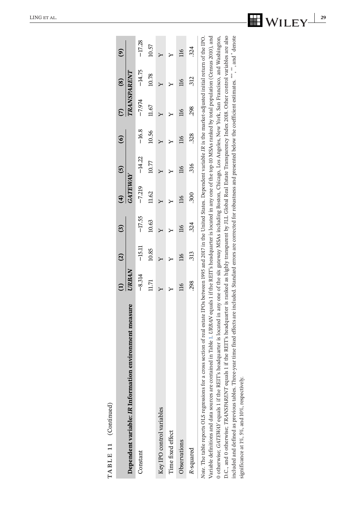<span id="page-29-0"></span>

| TABLE 11 (Continued)                                                                                                                                                                                                                                                                                                                                                                                                                                                                                                                                                                                                                                                                                                                                                                                                                                                                                                                                                                                                                                               |                |                          |                |                         |                 |                         |                          |                |                |
|--------------------------------------------------------------------------------------------------------------------------------------------------------------------------------------------------------------------------------------------------------------------------------------------------------------------------------------------------------------------------------------------------------------------------------------------------------------------------------------------------------------------------------------------------------------------------------------------------------------------------------------------------------------------------------------------------------------------------------------------------------------------------------------------------------------------------------------------------------------------------------------------------------------------------------------------------------------------------------------------------------------------------------------------------------------------|----------------|--------------------------|----------------|-------------------------|-----------------|-------------------------|--------------------------|----------------|----------------|
|                                                                                                                                                                                                                                                                                                                                                                                                                                                                                                                                                                                                                                                                                                                                                                                                                                                                                                                                                                                                                                                                    |                | $\widehat{c}$            | ි              | $\mathbf{f}$            | $\overline{5}$  | $\odot$                 |                          | $\circledS$    | $\mathbf{e}$   |
| Dependent variable: IR Information environment measure                                                                                                                                                                                                                                                                                                                                                                                                                                                                                                                                                                                                                                                                                                                                                                                                                                                                                                                                                                                                             | URBAN          |                          |                | <b>GATEWAY</b>          |                 |                         |                          | TRANSPARENT    |                |
| Constant                                                                                                                                                                                                                                                                                                                                                                                                                                                                                                                                                                                                                                                                                                                                                                                                                                                                                                                                                                                                                                                           | $-8.314$       | $-15.11$                 | $-17.55$       | $-7.219$                | $-14.22$        | $-16.8$                 | $-7.974$                 | $-14.75$       | $-17.28$       |
|                                                                                                                                                                                                                                                                                                                                                                                                                                                                                                                                                                                                                                                                                                                                                                                                                                                                                                                                                                                                                                                                    | 11.71          | 10.85                    | 10.63          | 11.62                   | 10.77           | 10.56                   | 11.67                    | 10.78          | 10.57          |
| Key IPO control variables                                                                                                                                                                                                                                                                                                                                                                                                                                                                                                                                                                                                                                                                                                                                                                                                                                                                                                                                                                                                                                          |                |                          |                |                         |                 |                         |                          |                |                |
| Time fixed effect                                                                                                                                                                                                                                                                                                                                                                                                                                                                                                                                                                                                                                                                                                                                                                                                                                                                                                                                                                                                                                                  |                |                          |                |                         |                 |                         |                          |                |                |
| Observations                                                                                                                                                                                                                                                                                                                                                                                                                                                                                                                                                                                                                                                                                                                                                                                                                                                                                                                                                                                                                                                       | $\frac{8}{10}$ | $\overline{\mathbb{16}}$ | $\overline{5}$ | $\overline{\mathbb{E}}$ | $\overline{16}$ | $\overline{\mathbb{E}}$ | $\overline{\mathbb{16}}$ | $\frac{16}{1}$ | $\frac{16}{2}$ |
| R-squared                                                                                                                                                                                                                                                                                                                                                                                                                                                                                                                                                                                                                                                                                                                                                                                                                                                                                                                                                                                                                                                          | 298            | 313                      | .324           | 300                     | .316            | 328                     | .298                     | 312            | 324            |
| Variable definitions and data sources are contained in Table 1. URBAN equals 1 if the REIT's headquarter is located in any one of the top-10 MSAs ranked by total population (Census 2010), and<br>D.C., and 0 otherwise; TRANSPARENT equals 1 if the REIT's headquarter is ranked as highly transparent by JLL Global Real Estate Transparency Index 2018. Other control variables are also<br>0 otherwise; <i>GATEWAY</i> equals 1 if the REIT's headquarter is located in any one of the six gateway MSAs including Boston, Chicago, Los Angeles, New York, San Francisco, and Washington,<br>included and defined as previous tables. Three-year time fixed effects are included. Standard errors are corrected for robustness and presented below the coefficient estimates. ***, *, and * denote<br>section of real estate IPOs between 1995 and 2017 in the United States. Dependent variable IR is the market-adjusted initial return of the IPO.<br>Note. The table reports OLS regressions for a cross<br>significance at 1%, 5%, and 10%, respectively. |                |                          |                |                         |                 |                         |                          |                |                |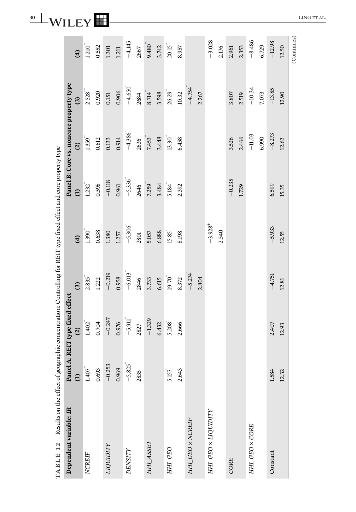| TABLE 12 Results on the effect of geographic concentration: Controlling for REIT type fixed effect and core property type |               |                           |              |            |                 |                                         |           |             |
|---------------------------------------------------------------------------------------------------------------------------|---------------|---------------------------|--------------|------------|-----------------|-----------------------------------------|-----------|-------------|
| Dependent variable: IR                                                                                                    | Panel         | A: REIT type fixed effect |              |            |                 | Panel B: Core vs. noncore property type |           |             |
|                                                                                                                           | $\widehat{E}$ | $\widehat{\mathfrak{S}}$  | $\mathbf{G}$ | $\Theta$   | $\widehat{\Xi}$ | $\widehat{\mathbf{c}}$                  | ල         | $\hat{f}$   |
| <b>NCREIF</b>                                                                                                             | 1.407         | 1.402                     | 2.835        | 1.390      | 1.232           | 1.359                                   | 2.528     | 1.210       |
|                                                                                                                           | 0.693         | 0.704                     | 1.222        | 0.638      | 0.598           | 0.612                                   | 0.920     | 0.552       |
| LIQUIDITY                                                                                                                 | $-0.253$      | $-0.247$                  | $-0.219$     | 1.380      | $-0.118$        | 0.133                                   | $0.151\,$ | 1.301       |
|                                                                                                                           | 0.969         | 0.976                     | 0.958        | 1.257      | 0.961           | 0.914                                   | 0.906     | 1.211       |
| DENSITY                                                                                                                   | $-5,825$      | $-5,911$                  | $-6,013$     | $-5,306$   | $-5,336$        | $-4,386$                                | $-4,650$  | $-4,145$    |
|                                                                                                                           | 2835          | 2827                      | 2846         | 2801       | 2646            | 2636                                    | 2684      | 2667        |
| HHI_ASSET                                                                                                                 |               | $-1.329$                  | 3.733        | 5.057      | 7.259           | 7.453                                   | 8.714     | 9.480       |
|                                                                                                                           |               | 6.432                     | 6.615        | 6.888      | 3.484           | 3.448                                   | 3.598     | 3.742       |
| HHI_GEO                                                                                                                   | 5.157         | 5.208                     | 19.70        | 15.85      | 5.184           | 13.30                                   | 26.29     | 20.15       |
|                                                                                                                           | 2.643         | 2.666                     | 8.372        | 8.198      | 2.392           | 6.458                                   | 10.32     | 8.957       |
| HHI_GEO × NCREIF                                                                                                          |               |                           | $-5.274$     |            |                 |                                         | $-4.754$  |             |
|                                                                                                                           |               |                           | 2.804        |            |                 |                                         | 2.267     |             |
| HHL_GEO × LIQUIDITY                                                                                                       |               |                           |              | $-3.928 +$ |                 |                                         |           | $-3.028$    |
|                                                                                                                           |               |                           |              | 2.540      |                 |                                         |           | 2.176       |
| CORE                                                                                                                      |               |                           |              |            | $-0.235$        | 3.526                                   | 3.807     | 2.961       |
|                                                                                                                           |               |                           |              |            | 1.729           | 2.466                                   | 2.519     | 2.353       |
| HHI_GEO X CORE                                                                                                            |               |                           |              |            |                 | $-11.03$                                | $-10.34$  | $-8.486$    |
|                                                                                                                           |               |                           |              |            |                 | 6.990                                   | 7.073     | 6.729       |
| Constant                                                                                                                  | 1.584         | 2.407                     | $-4.751$     | $-5.933$   | 6.599           | $-8.273$                                | $-13.85$  | $-12.98$    |
|                                                                                                                           | 12.32         | 12.93                     | 12.81        | 12.55      | 15.35           | 12.62                                   | 12.90     | 12.50       |
|                                                                                                                           |               |                           |              |            |                 |                                         |           | (Continues) |

<span id="page-30-0"></span>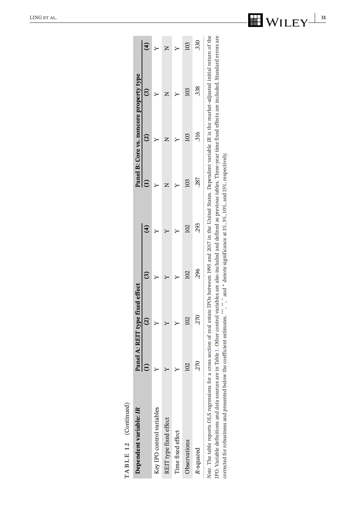<span id="page-31-0"></span>

| TABLE 12 (Continued)                                                                                                                                                                                                                                                                                                                                                                                                                                       |       |                                                                                                  |                 |     |     |                         |                                         |     |
|------------------------------------------------------------------------------------------------------------------------------------------------------------------------------------------------------------------------------------------------------------------------------------------------------------------------------------------------------------------------------------------------------------------------------------------------------------|-------|--------------------------------------------------------------------------------------------------|-----------------|-----|-----|-------------------------|-----------------------------------------|-----|
| Dependent variable: IR                                                                                                                                                                                                                                                                                                                                                                                                                                     |       |                                                                                                  |                 |     |     |                         | Panel B: Core vs. noncore property type |     |
|                                                                                                                                                                                                                                                                                                                                                                                                                                                            |       | Panel A: REIT type fixed effect $(1)$                                                            |                 |     |     | $\widehat{\bm{\omega}}$ |                                         |     |
| Key IPO control variables                                                                                                                                                                                                                                                                                                                                                                                                                                  |       |                                                                                                  |                 |     |     |                         |                                         |     |
| REIT type fixed effect                                                                                                                                                                                                                                                                                                                                                                                                                                     |       |                                                                                                  |                 |     |     |                         |                                         |     |
| Time fixed effect                                                                                                                                                                                                                                                                                                                                                                                                                                          |       |                                                                                                  |                 |     |     |                         |                                         |     |
| Observations                                                                                                                                                                                                                                                                                                                                                                                                                                               | $\Xi$ |                                                                                                  | $\overline{02}$ |     | 103 | 20                      | 103                                     | 103 |
| R-squared                                                                                                                                                                                                                                                                                                                                                                                                                                                  |       | .270                                                                                             | 296             | 293 | 287 | 316                     | 338                                     | 330 |
| IPO. Variable definitions and data sources are in Table 1. Other control variables are also included and defined as previous tables. Three-year time fixed effects are included. Standard errors are<br>Note. The table reports OLS regressions for a cross section of real estate IPOs between 1995 and 2017 in the United States. Dependent variable IR is the market-adjusted initial return of the<br>corrected for robustness and presented below the |       | coefficient estimates. ***, *** and + denote significance at 1%, 5%, 10%, and 15%, respectively. |                 |     |     |                         |                                         |     |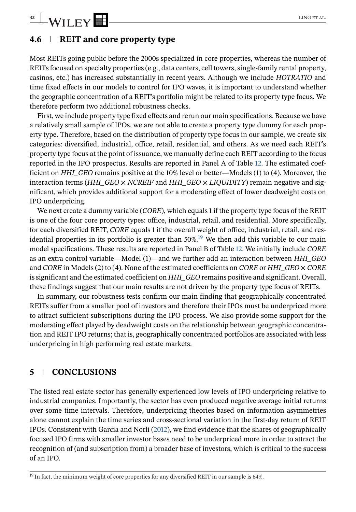### **4.6 REIT and core property type**

Most REITs going public before the 2000s specialized in core properties, whereas the number of REITs focused on specialty properties (e.g., data centers, cell towers, single-family rental property, casinos, etc.) has increased substantially in recent years. Although we include *HOTRATIO* and time fixed effects in our models to control for IPO waves, it is important to understand whether the geographic concentration of a REIT's portfolio might be related to its property type focus. We therefore perform two additional robustness checks.

First, we include property type fixed effects and rerun our main specifications. Because we have a relatively small sample of IPOs, we are not able to create a property type dummy for each property type. Therefore, based on the distribution of property type focus in our sample, we create six categories: diversified, industrial, office, retail, residential, and others. As we need each REIT's property type focus at the point of issuance, we manually define each REIT according to the focus reported in the IPO prospectus. Results are reported in Panel A of Table [12.](#page-30-0) The estimated coefficient on *HHI\_GEO* remains positive at the 10% level or better—Models (1) to (4). Moreover, the interaction terms (*HHI\_GEO*  $\times$  *NCREIF* and *HHI\_GEO*  $\times$  *LIQUIDITY*) remain negative and significant, which provides additional support for a moderating effect of lower deadweight costs on IPO underpricing.

We next create a dummy variable (*CORE*), which equals 1 if the property type focus of the REIT is one of the four core property types: office, industrial, retail, and residential. More specifically, for each diversified REIT, *CORE* equals 1 if the overall weight of office, industrial, retail, and residential properties in its portfolio is greater than  $50\%$ .<sup>19</sup> We then add this variable to our main model specifications. These results are reported in Panel B of Table [12.](#page-30-0) We initially include *CORE* as an extra control variable—Model (1)—and we further add an interaction between *HHI\_GEO* and *CORE* in Models (2) to (4). None of the estimated coefficients on *CORE* or *HHI\_GEO* × *CORE* is significant and the estimated coefficient on *HHI\_GEO* remains positive and significant. Overall, these findings suggest that our main results are not driven by the property type focus of REITs.

In summary, our robustness tests confirm our main finding that geographically concentrated REITs suffer from a smaller pool of investors and therefore their IPOs must be underpriced more to attract sufficient subscriptions during the IPO process. We also provide some support for the moderating effect played by deadweight costs on the relationship between geographic concentration and REIT IPO returns; that is, geographically concentrated portfolios are associated with less underpricing in high performing real estate markets.

### **5 CONCLUSIONS**

The listed real estate sector has generally experienced low levels of IPO underpricing relative to industrial companies. Importantly, the sector has even produced negative average initial returns over some time intervals. Therefore, underpricing theories based on information asymmetries alone cannot explain the time series and cross-sectional variation in the first-day return of REIT IPOs. Consistent with García and Norli (2012), we find evidence that the shares of geographically focused IPO firms with smaller investor bases need to be underpriced more in order to attract the recognition of (and subscription from) a broader base of investors, which is critical to the success of an IPO.

<span id="page-32-0"></span>

 $19$  In fact, the minimum weight of core properties for any diversified REIT in our sample is 64%.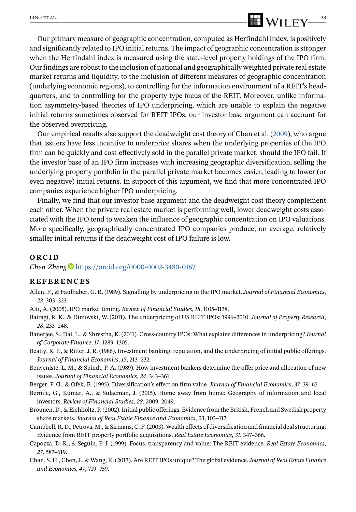### Our primary measure of geographic concentration, computed as Herfindahl index, is positively and significantly related to IPO initial returns. The impact of geographic concentration is stronger when the Herfindahl index is measured using the state-level property holdings of the IPO firm. Our findings are robust to the inclusion of national and geographically weighted private real estate market returns and liquidity, to the inclusion of different measures of geographic concentration (underlying economic regions), to controlling for the information environment of a REIT's headquarters, and to controlling for the property type focus of the REIT. Moreover, unlike information asymmetry-based theories of IPO underpricing, which are unable to explain the negative initial returns sometimes observed for REIT IPOs, our investor base argument can account for the observed overpricing.

Our empirical results also support the deadweight cost theory of Chan et al. (2009), who argue that issuers have less incentive to underprice shares when the underlying properties of the IPO firm can be quickly and cost-effectively sold in the parallel private market, should the IPO fail. If the investor base of an IPO firm increases with increasing geographic diversification, selling the underlying property portfolio in the parallel private market becomes easier, leading to lower (or even negative) initial returns. In support of this argument, we find that more concentrated IPO companies experience higher IPO underpricing.

Finally, we find that our investor base argument and the deadweight cost theory complement each other. When the private real estate market is performing well, lower deadweight costs associated with the IPO tend to weaken the influence of geographic concentration on IPO valuations. More specifically, geographically concentrated IPO companies produce, on average, relatively smaller initial returns if the deadweight cost of IPO failure is low.

#### **ORCID**

*Chen Zheng* <https://orcid.org/0000-0002-3480-0167>

#### **REFERENCES**

- Allen, F., & Faulhaber, G. R. (1989). Signalling by underpricing in the IPO market. *Journal of Financial Economics*, *23*, 303–323.
- Altı, A. (2005). IPO market timing. *Review of Financial Studies*, *18*, 1105–1138.
- Bairagi, R. K., & Dimovski, W. (2011). The underpricing of US REIT IPOs: 1996–2010. *Journal of Property Research*, *28*, 233–248.
- Banerjee, S., Dai, L., & Shrestha, K. (2011). Cross-country IPOs: What explains differences in underpricing? *Journal of Corporate Finance*, *17*, 1289–1305.
- Beatty, R. P., & Ritter, J. R. (1986). Investment banking, reputation, and the underpricing of initial public offerings. *Journal of Financial Economics*, *15*, 213–232.
- Benveniste, L. M., & Spindt, P. A. (1989). How investment bankers determine the offer price and allocation of new issues. *Journal of Financial Economics*, *24*, 343–361.
- Berger, P. G., & Ofek, E. (1995). Diversification's effect on firm value. *Journal of Financial Economics*, *37*, 39–65.
- Bernile, G., Kumar, A., & Sulaeman, J. (2015). Home away from home: Geography of information and local investors. *Review of Financial Studies*, *28*, 2009–2049.
- Brounen, D., & Eichholtz, P. (2002). Initial public offerings: Evidence from the British, French and Swedish property share markets. *Journal of Real Estate Finance and Economics*, *23*, 103–117.
- Campbell, R. D., Petrova, M., & Sirmans, C. F. (2003). Wealth effects of diversification and financial deal structuring: Evidence from REIT property portfolio acquisitions. *Real Estate Economics*, *31*, 347–366.
- Capozza, D. R., & Seguin, P. J. (1999). Focus, transparency and value: The REIT evidence. *Real Estate Economics*, *27*, 587–619.
- Chan, S. H., Chen, J., & Wang, K. (2013). Are REIT IPOs unique? The global evidence.*Journal of Real Estate Finance and Economics*, *47*, 719–759.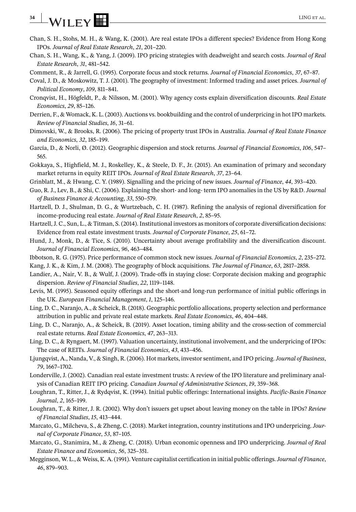## **34** WILEY **EX** LING ET AL.

- Chan, S. H., Stohs, M. H., & Wang, K. (2001). Are real estate IPOs a different species? Evidence from Hong Kong IPOs. *Journal of Real Estate Research*, *21*, 201–220.
- Chan, S. H., Wang, K., & Yang, J. (2009). IPO pricing strategies with deadweight and search costs. *Journal of Real Estate Research*, *31*, 481–542.
- Comment, R., & Jarrell, G. (1995). Corporate focus and stock returns. *Journal of Financial Economics*, *37*, 67–87.
- Coval, J. D., & Moskowitz, T. J. (2001). The geography of investment: Informed trading and asset prices. *Journal of Political Economy*, *109*, 811–841.
- Cronqvist, H., Högfeldt, P., & Nilsson, M. (2001). Why agency costs explain diversification discounts. *Real Estate Economics*, *29*, 85–126.
- Derrien, F., & Womack, K. L. (2003). Auctions vs. bookbuilding and the control of underpricing in hot IPO markets. *Review of Financial Studies*, *16*, 31–61.
- Dimovski, W., & Brooks, R. (2006). The pricing of property trust IPOs in Australia. *Journal of Real Estate Finance and Economics*, *32*, 185–199.
- García, D., & Norli, Ø. (2012). Geographic dispersion and stock returns. *Journal of Financial Economics*, *106*, 547– 565.
- Gokkaya, S., Highfield, M. J., Roskelley, K., & Steele, D. F., Jr. (2015). An examination of primary and secondary market returns in equity REIT IPOs. *Journal of Real Estate Research*, *37*, 23–64.
- Grinblatt, M., & Hwang, C. Y. (1989). Signalling and the pricing of new issues. *Journal of Finance*, *44*, 393–420.
- Guo, R. J., Lev, B., & Shi, C. (2006). Explaining the short- and long- term IPO anomalies in the US by R&D. *Journal of Business Finance & Accounting*, *33*, 550–579.
- Hartzell, D. J., Shulman, D. G., & Wurtzebach, C. H. (1987). Refining the analysis of regional diversification for income-producing real estate. *Journal of Real Estate Research*, *2*, 85–95.
- Hartzell, J. C., Sun, L., & Titman, S. (2014). Institutional investors as monitors of corporate diversification decisions: Evidence from real estate investment trusts. *Journal of Corporate Finance*, *25*, 61–72.
- Hund, J., Monk, D., & Tice, S. (2010). Uncertainty about average profitability and the diversification discount. *Journal of Financial Economics*, *96*, 463–484.
- Ibbotson, R. G. (1975). Price performance of common stock new issues. *Journal of Financial Economics*, *2*, 235–272.
- Kang, J. K., & Kim, J. M. (2008). The geography of block acquisitions. *The Journal of Finance*, *63*, 2817–2858.
- Landier, A., Nair, V. B., & Wulf, J. (2009). Trade-offs in staying close: Corporate decision making and geographic dispersion. *Review of Financial Studies*, *22*, 1119–1148.
- Levis, M. (1995). Seasoned equity offerings and the short-and long-run performance of initial public offerings in the UK. *European Financial Management*, *1*, 125–146.
- Ling, D. C., Naranjo, A., & Scheick, B. (2018). Geographic portfolio allocations, property selection and performance attribution in public and private real estate markets. *Real Estate Economics*, *46*, 404–448.
- Ling, D. C., Naranjo, A., & Scheick, B. (2019). Asset location, timing ability and the cross-section of commercial real estate returns. *Real Estate Economics*, *47*, 263–313.
- Ling, D. C., & Ryngaert, M. (1997). Valuation uncertainty, institutional involvement, and the underpricing of IPOs: The case of REITs. *Journal of Financial Economics*, *43*, 433–456.
- Ljungqvist, A., Nanda, V., & Singh, R. (2006). Hot markets, investor sentiment, and IPO pricing.*Journal of Business*, *79*, 1667–1702.
- Londerville, J. (2002). Canadian real estate investment trusts: A review of the IPO literature and preliminary analysis of Canadian REIT IPO pricing. *Canadian Journal of Administrative Sciences*, *19*, 359–368.
- Loughran, T., Ritter, J., & Rydqvist, K. (1994). Initial public offerings: International insights. *Pacific-Basin Finance Journal*, *2*, 165–199.
- Loughran, T., & Ritter, J. R. (2002). Why don't issuers get upset about leaving money on the table in IPOs? *Review of Financial Studies*, *15*, 413–444.
- Marcato, G., Milcheva, S., & Zheng, C. (2018). Market integration, country institutions and IPO underpricing.*Journal of Corporate Finance*, *53*, 87–105.
- Marcato, G., Stanimira, M., & Zheng, C. (2018). Urban economic openness and IPO underpricing. *Journal of Real Estate Finance and Economics*, *56*, 325–351.
- Megginson, W. L., & Weiss, K. A. (1991). Venture capitalist certification in initial public offerings.*Journal of Finance*, *46*, 879–903.